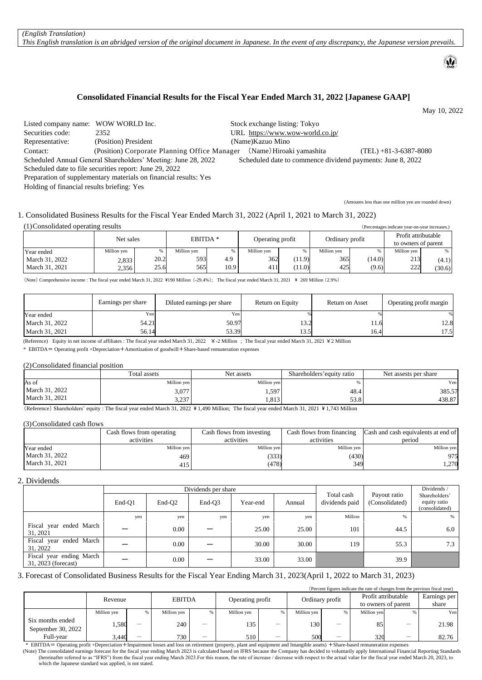*This English translation is an abridged version of the original document in Japanese. In the event of any discrepancy, the Japanese version prevails.*

# **Consolidated Financial Results for the Fiscal Year Ended March 31, 2022 [Japanese GAAP]**

May 10, 2022

 $\omega$ 

| Listed company name: WOW WORLD Inc.                                                                                         |                                                                                                                                                                                                                                               | Stock exchange listing: Tokyo    |                          |  |  |  |
|-----------------------------------------------------------------------------------------------------------------------------|-----------------------------------------------------------------------------------------------------------------------------------------------------------------------------------------------------------------------------------------------|----------------------------------|--------------------------|--|--|--|
| Securities code:                                                                                                            | 2352                                                                                                                                                                                                                                          | URL https://www.wow-world.co.jp/ |                          |  |  |  |
| Representative:                                                                                                             | (Position) President                                                                                                                                                                                                                          | (Name) Kazuo Mino                |                          |  |  |  |
| Contact:                                                                                                                    | (Position) Corporate Planning Office Manager                                                                                                                                                                                                  | (Name) Hiroaki yamashita         | $(TEL) + 81-3-6387-8080$ |  |  |  |
| Scheduled Annual General Shareholders' Meeting: June 28, 2022<br>Scheduled date to commence dividend payments: June 8, 2022 |                                                                                                                                                                                                                                               |                                  |                          |  |  |  |
| Scheduled date to file securities report: June 29, 2022                                                                     |                                                                                                                                                                                                                                               |                                  |                          |  |  |  |
|                                                                                                                             | $\mathbf{D}_{\text{unram}}$ , $\mathbf{L}_{\text{unram}}$ , $\mathbf{L}_{\text{unram}}$ , $\mathbf{L}_{\text{unram}}$ , $\mathbf{L}_{\text{unram}}$ , $\mathbf{L}_{\text{unram}}$ , $\mathbf{L}_{\text{unram}}$ , $\mathbf{V}_{\text{unram}}$ |                                  |                          |  |  |  |

Preparation of supplementary materials on financial results: Yes

Holding of financial results briefing: Yes

(Amounts less than one million yen are rounded down)

### 1. Consolidated Business Results for the Fiscal Year Ended March 31, 2022 (April 1, 2021 to March 31, 2022)

### (1)Consolidated operating results (Percentages indicate year-on-year increases.)

|                |             | Net sales |             | EBITDA <sup>*</sup> |             | Operating profit |             | Ordinary profit | Profit attributable<br>to owners of parent |        |
|----------------|-------------|-----------|-------------|---------------------|-------------|------------------|-------------|-----------------|--------------------------------------------|--------|
| Year ended     | Million yen |           | Million yen | %                   | Million yen |                  | Million ven |                 | Million ven                                |        |
| March 31, 2022 | 2,833       | 20.2      | 593         | 4.9                 | 362         | (11.9)           | 365         | (14.0)          | 213                                        | (4.1)  |
| March 31, 2021 | 2,356       | 25.6      | 565         | 10.9 <sup>°</sup>   | 411         | (11.0)           | 425         | (9.6)           | 222                                        | (30.6) |

(Note) Comprehensive income : The fiscal year ended March 31, 2022 \190 Million (-29.4%); The fiscal year ended March 31, 2021 \ 269 Million (2.9%)

|                | Earnings per share | Diluted earnings per share | Return on Equity | Return on Asset | Operating profit margin |
|----------------|--------------------|----------------------------|------------------|-----------------|-------------------------|
| Year ended     | Yen                | Yen                        |                  |                 |                         |
| March 31, 2022 | 54.21              | 50.97                      | 1 J.Z            | $-1.0$          | 12.8                    |
| March 31, 2021 | 56.14              | 53.39                      | 13.5             | 16.4            | 17.5                    |

(Reference) Equity in net income of affiliates : The fiscal year ended March 31, 2022 ¥-2 Million ; The fiscal year ended March 31, 2021 ¥2 Million

\* EBITDA= Operating profit +Depreciation+Amortization of goodwill+Share-based remuneration expenses

## (2)Consolidated financial position

|                | Total assets                                                                                                                                                                                                                                                                            | Net assets  | Shareholders' equity ratio | Net assests per share |
|----------------|-----------------------------------------------------------------------------------------------------------------------------------------------------------------------------------------------------------------------------------------------------------------------------------------|-------------|----------------------------|-----------------------|
| As of          | Million ven                                                                                                                                                                                                                                                                             | Million ven |                            | Yen i                 |
| March 31, 2022 | 3,077                                                                                                                                                                                                                                                                                   | 1,597       | 48.4                       | 385.57                |
| March 31, 2021 | 222<br>3.23                                                                                                                                                                                                                                                                             | 1,813       | دی<br>ം<br>22.O            | 438.87                |
|                | $\sqrt{D}$ (a) $\sqrt{D}$ (a) $\sqrt{D}$ (b) $\sqrt{D}$ (b) $\sqrt{D}$ (c) $\sqrt{D}$ (c) $\sqrt{D}$ (c) $\sqrt{D}$ (c) $\sqrt{D}$ (c) $\sqrt{D}$ (c) $\sqrt{D}$ (c) $\sqrt{D}$ (c) $\sqrt{D}$ (c) $\sqrt{D}$ (c) $\sqrt{D}$ (c) $\sqrt{D}$ (c) $\sqrt{D}$ (c) $\sqrt{D}$ (c) $\sqrt{D$ |             |                            |                       |

(Reference) Shareholders' equity : The fiscal year ended March 31, 2022 \¥ 1,490 Million; The fiscal year ended March 31, 2021 \ 1,743 Million

#### (3)Consolidated cash flows

|                | Cash flows from operating | Cash flows from investing | Cash flows from financing | Cash and cash equivalents at end of |
|----------------|---------------------------|---------------------------|---------------------------|-------------------------------------|
|                | activities                | activities                | activities                | period                              |
| Year ended     | Million ven               | Million ven               | Million yen               | Million yen                         |
| March 31, 2022 | 469                       | (333)                     | (430)                     | 975                                 |
| March 31, 2021 | 415                       | (478)                     | 349                       | 1,270                               |

# 2. Dividends

|                                                 |        |                    | Dividends per share |          |        | Dividends /                  |                                |                                                 |
|-------------------------------------------------|--------|--------------------|---------------------|----------|--------|------------------------------|--------------------------------|-------------------------------------------------|
|                                                 | End-O1 | End-O <sub>2</sub> | End-O <sub>3</sub>  | Year-end | Annual | Total cash<br>dividends paid | Payout ratio<br>(Consolidated) | Shareholders'<br>equity ratio<br>(consolidated) |
|                                                 | yen    | yen                | yen                 | yen      | yen    | Million                      | $\%$                           | %                                               |
| Fiscal year ended March<br>31, 2021             |        | 0.00               |                     | 25.00    | 25.00  | 101                          | 44.5                           | 6.0                                             |
| Fiscal year ended March<br>31, 2022             |        | 0.00               |                     | 30.00    | 30.00  | 119                          | 55.3                           | 7.3                                             |
| Fiscal year ending March<br>31, 2023 (forecast) |        | 0.00               |                     | 33.00    | 33.00  |                              | 39.9                           |                                                 |

3. Forecast of Consolidated Business Results for the Fiscal Year Ending March 31, 2023(April 1, 2022 to March 31, 2023)

|                                        |             |   |               |   |                  |   |                 |    |                                            |  | (Percent figures indicate the rate of changes from the previous fiscal year) |
|----------------------------------------|-------------|---|---------------|---|------------------|---|-----------------|----|--------------------------------------------|--|------------------------------------------------------------------------------|
|                                        | Revenue     |   | <b>EBITDA</b> |   | Operating profit |   | Ordinary profit |    | Profit attributable<br>to owners of parent |  | Earnings per<br>share                                                        |
|                                        | Million yen | % | Million yen   | % | Million yen      | % | Million ven     |    | Million yen                                |  | Yen                                                                          |
| Six months ended<br>September 30, 2022 | 1,580       |   | 240           |   | 135              |   | 130             | __ | 85                                         |  | 21.98                                                                        |
| Full-year                              | 3.440       |   | 730           |   | 510              |   | 500             |    | 320                                        |  | 82.76                                                                        |

\* EBITDA= Operating profit +Depreciation+Impairment losses and loss on retirement (property, plant and equipment and Intangible assets) +Share-based remuneration expenses

(Note) The consolidated earnings forecast for the fiscal year ending March 2023 is calculated based on IFRS because the Company has decided to voluntarily apply International Financial Reporting Standards (hereinafter refe which the Japanese standard was applied, is not stated.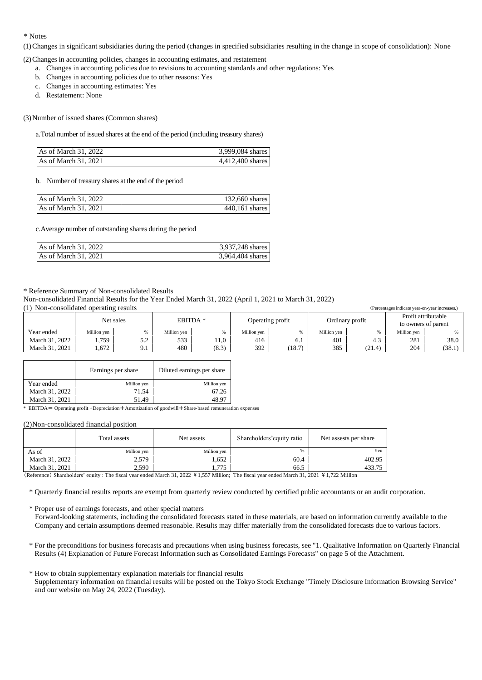## \* Notes

(1)Changes in significant subsidiaries during the period (changes in specified subsidiaries resulting in the change in scope of consolidation): None

(2)Changes in accounting policies, changes in accounting estimates, and restatement

- a. Changes in accounting policies due to revisions to accounting standards and other regulations: Yes
- b. Changes in accounting policies due to other reasons: Yes
- c. Changes in accounting estimates: Yes
- d. Restatement: None

(3)Number of issued shares (Common shares)

a.Total number of issued shares at the end of the period (including treasury shares)

| As of March 31, 2022 | 3,999,084 shares |
|----------------------|------------------|
| As of March 31, 2021 | 4,412,400 shares |

b. Number of treasury shares at the end of the period

| As of March 31, 2022 | 132,660 shares   |
|----------------------|------------------|
| As of March 31, 2021 | $440,161$ shares |

c.Average number of outstanding shares during the period

| As of March 31, 2022 | 3,937,248 shares |
|----------------------|------------------|
| As of March 31, 2021 | 3,964,404 shares |

### \* Reference Summary of Non-consolidated Results

Non-consolidated Financial Results for the Year Ended March 31, 2022 (April 1, 2021 to March 31, 2022)

(1) Non-consolidated operating results (Percentages indicate year-on-year increases.)

|                |             | Net sales | EBITDA <sup>*</sup> |       | Operating profit |        | Ordinary profit |        | Profit attributable<br>to owners of parent |        |
|----------------|-------------|-----------|---------------------|-------|------------------|--------|-----------------|--------|--------------------------------------------|--------|
| Year ended     | Million yen |           | Million yen         | %     | Million yen      |        | Million yen     | 0.6    | Million yen                                | %      |
| March 31, 2022 | .759        | <u>.</u>  | 533                 | 11.0  | 416              | O. 1   | 401             | 4.3    | 281                                        | 38.0   |
| March 31, 2021 | .672        | O.        | 480                 | (8.3) | 392              | (18.7) | 385             | (21.4) | 204                                        | (38.1) |

|                | Earnings per share | Diluted earnings per share |
|----------------|--------------------|----------------------------|
| Year ended     | Million yen        | Million yen                |
| March 31, 2022 | 71.54              | 67.26                      |
| March 31, 2021 | 51.49              | 18 9′                      |

\* EBITDA= Operating profit +Depreciation+Amortization of goodwill+Share-based remuneration expenses

### (2)Non-consolidated financial position

|                | Total assets | Net assets  | Shareholders' equity ratio | Net assests per share |
|----------------|--------------|-------------|----------------------------|-----------------------|
| As of          | Million yen  | Million yen |                            | Yen                   |
| March 31, 2022 | 2,579        | 1,652       | 60.4                       | 402.95                |
| March 31, 2021 | 2.590        | l.775       | 66.5                       | 433.75                |

(Reference) Shareholders' equity : The fiscal year ended March 31, 2022 \ 1,557 Million; The fiscal year ended March 31, 2021 \ 1,722 Million

\* Quarterly financial results reports are exempt from quarterly review conducted by certified public accountants or an audit corporation.

\* Proper use of earnings forecasts, and other special matters

Forward-looking statements, including the consolidated forecasts stated in these materials, are based on information currently available to the Company and certain assumptions deemed reasonable. Results may differ materially from the consolidated forecasts due to various factors.

- \* For the preconditions for business forecasts and precautions when using business forecasts, see "1. Qualitative Information on Quarterly Financial Results (4) Explanation of Future Forecast Information such as Consolidated Earnings Forecasts" on page 5 of the Attachment.
- \* How to obtain supplementary explanation materials for financial results Supplementary information on financial results will be posted on the Tokyo Stock Exchange "Timely Disclosure Information Browsing Service" and our website on May 24, 2022 (Tuesday).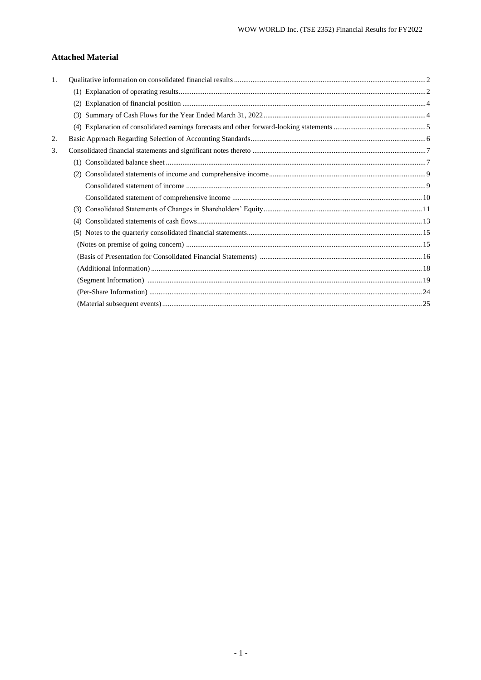# **Attached Material**

| $\mathbf{1}$ . |     |  |
|----------------|-----|--|
|                |     |  |
|                | (2) |  |
|                | (3) |  |
|                |     |  |
| 2.             |     |  |
| 3.             |     |  |
|                |     |  |
|                |     |  |
|                |     |  |
|                |     |  |
|                | (3) |  |
|                | (4) |  |
|                |     |  |
|                |     |  |
|                |     |  |
|                |     |  |
|                |     |  |
|                |     |  |
|                |     |  |
|                |     |  |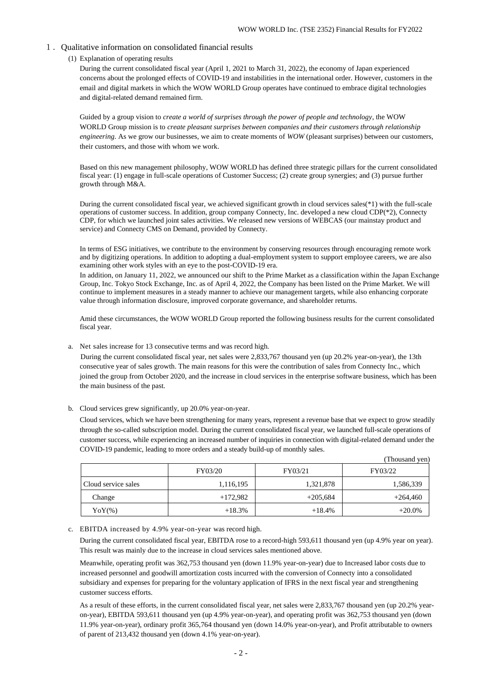## <span id="page-3-0"></span>1.Qualitative information on consolidated financial results

(1) Explanation of operating results

During the current consolidated fiscal year (April 1, 2021 to March 31, 2022), the economy of Japan experienced concerns about the prolonged effects of COVID-19 and instabilities in the international order. However, customers in the email and digital markets in which the WOW WORLD Group operates have continued to embrace digital technologies and digital-related demand remained firm.

Guided by a group vision to *create a world of surprises through the power of people and technology*, the WOW WORLD Group mission is to *create pleasant surprises between companies and their customers through relationship engineering*. As we grow our businesses, we aim to create moments of *WOW* (pleasant surprises) between our customers, their customers, and those with whom we work.

Based on this new management philosophy, WOW WORLD has defined three strategic pillars for the current consolidated fiscal year: (1) engage in full-scale operations of Customer Success; (2) create group synergies; and (3) pursue further growth through M&A.

During the current consolidated fiscal year, we achieved significant growth in cloud services sales(\*1) with the full-scale operations of customer success. In addition, group company Connecty, Inc. developed a new cloud CDP(\*2), Connecty CDP, for which we launched joint sales activities. We released new versions of WEBCAS (our mainstay product and service) and Connecty CMS on Demand, provided by Connecty.

In terms of ESG initiatives, we contribute to the environment by conserving resources through encouraging remote work and by digitizing operations. In addition to adopting a dual-employment system to support employee careers, we are also examining other work styles with an eye to the post-COVID-19 era.

In addition, on January 11, 2022, we announced our shift to the Prime Market as a classification within the Japan Exchange Group, Inc. Tokyo Stock Exchange, Inc. as of April 4, 2022, the Company has been listed on the Prime Market. We will continue to implement measures in a steady manner to achieve our management targets, while also enhancing corporate value through information disclosure, improved corporate governance, and shareholder returns.

Amid these circumstances, the WOW WORLD Group reported the following business results for the current consolidated fiscal year.

a. Net sales increase for 13 consecutive terms and was record high.

During the current consolidated fiscal year, net sales were 2,833,767 thousand yen (up 20.2% year-on-year), the 13th consecutive year of sales growth. The main reasons for this were the contribution of sales from Connecty Inc., which joined the group from October 2020, and the increase in cloud services in the enterprise software business, which has been the main business of the past.

## b. Cloud services grew significantly, up 20.0% year-on-year.

Cloud services, which we have been strengthening for many years, represent a revenue base that we expect to grow steadily through the so-called subscription model. During the current consolidated fiscal year, we launched full-scale operations of customer success, while experiencing an increased number of inquiries in connection with digital-related demand under the COVID-19 pandemic, leading to more orders and a steady build-up of monthly sales.

|                     |            |            | (Thousand yen) |
|---------------------|------------|------------|----------------|
|                     | FY03/20    | FY03/21    | FY03/22        |
| Cloud service sales | 1,116,195  | 1,321,878  | 1,586,339      |
| Change              | $+172,982$ | $+205,684$ | $+264,460$     |
| $\text{YoY(\%)}$    | $+18.3%$   | $+18.4%$   | $+20.0%$       |

### c. EBITDA increased by 4.9% year-on-year was record high.

During the current consolidated fiscal year, EBITDA rose to a record-high 593,611 thousand yen (up 4.9% year on year). This result was mainly due to the increase in cloud services sales mentioned above.

Meanwhile, operating profit was 362,753 thousand yen (down 11.9% year-on-year) due to Increased labor costs due to increased personnel and goodwill amortization costs incurred with the conversion of Connecty into a consolidated subsidiary and expenses for preparing for the voluntary application of IFRS in the next fiscal year and strengthening customer success efforts.

As a result of these efforts, in the current consolidated fiscal year, net sales were 2,833,767 thousand yen (up 20.2% yearon-year), EBITDA 593,611 thousand yen (up 4.9% year-on-year), and operating profit was 362,753 thousand yen (down 11.9% year-on-year), ordinary profit 365,764 thousand yen (down 14.0% year-on-year), and Profit attributable to owners of parent of 213,432 thousand yen (down 4.1% year-on-year).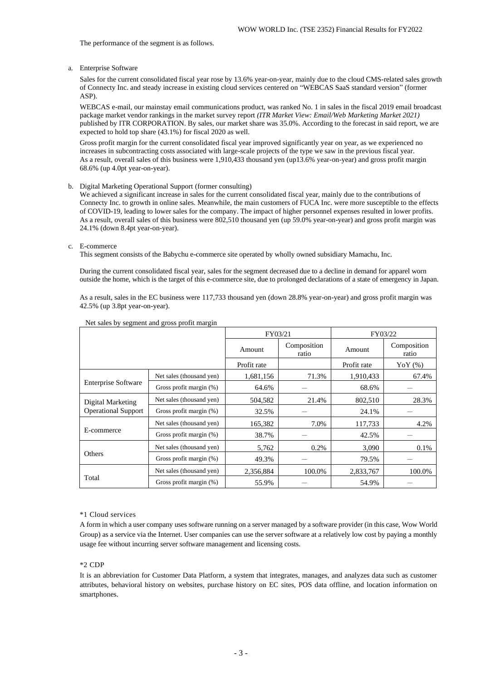The performance of the segment is as follows.

a. Enterprise Software

Sales for the current consolidated fiscal year rose by 13.6% year-on-year, mainly due to the cloud CMS-related sales growth of Connecty Inc. and steady increase in existing cloud services centered on "WEBCAS SaaS standard version" (former ASP).

WEBCAS e-mail, our mainstay email communications product, was ranked No. 1 in sales in the fiscal 2019 email broadcast package market vendor rankings in the market survey report *(ITR Market View: Email/Web Marketing Market 2021)*  published by ITR CORPORATION. By sales, our market share was 35.0%. According to the forecast in said report, we are expected to hold top share (43.1%) for fiscal 2020 as well.

Gross profit margin for the current consolidated fiscal year improved significantly year on year, as we experienced no increases in subcontracting costs associated with large-scale projects of the type we saw in the previous fiscal year. As a result, overall sales of this business were 1,910,433 thousand yen (up13.6% year-on-year) and gross profit margin 68.6% (up 4.0pt year-on-year).

### b. Digital Marketing Operational Support (former consulting)

We achieved a significant increase in sales for the current consolidated fiscal year, mainly due to the contributions of Connecty Inc. to growth in online sales. Meanwhile, the main customers of FUCA Inc. were more susceptible to the effects of COVID-19, leading to lower sales for the company. The impact of higher personnel expenses resulted in lower profits. As a result, overall sales of this business were 802,510 thousand yen (up 59.0% year-on-year) and gross profit margin was 24.1% (down 8.4pt year-on-year).

## c. E-commerce

This segment consists of the Babychu e-commerce site operated by wholly owned subsidiary Mamachu, Inc.

During the current consolidated fiscal year, sales for the segment decreased due to a decline in demand for apparel worn outside the home, which is the target of this e-commerce site, due to prolonged declarations of a state of emergency in Japan.

As a result, sales in the EC business were 117,733 thousand yen (down 28.8% year-on-year) and gross profit margin was 42.5% (up 3.8pt year-on-year).

|                            |                            | FY03/21     |                      | FY03/22     |                      |
|----------------------------|----------------------------|-------------|----------------------|-------------|----------------------|
|                            |                            | Amount      | Composition<br>ratio | Amount      | Composition<br>ratio |
|                            |                            | Profit rate |                      | Profit rate | YoY $(\%)$           |
|                            | Net sales (thousand yen)   | 1,681,156   | 71.3%                | 1,910,433   | 67.4%                |
| <b>Enterprise Software</b> | Gross profit margin (%)    | 64.6%       |                      | 68.6%       |                      |
| Digital Marketing          | Net sales (thousand yen)   | 504,582     | 21.4%                | 802,510     | 28.3%                |
| <b>Operational Support</b> | Gross profit margin $(\%)$ | 32.5%       |                      | 24.1%       |                      |
|                            | Net sales (thousand yen)   | 165,382     | 7.0%                 | 117,733     | 4.2%                 |
| E-commerce                 | Gross profit margin (%)    | 38.7%       |                      | 42.5%       |                      |
|                            | Net sales (thousand yen)   | 5,762       | $0.2\%$              | 3,090       | 0.1%                 |
| Others                     | Gross profit margin $(\%)$ | 49.3%       |                      | 79.5%       |                      |
|                            | Net sales (thousand yen)   | 2,356,884   | 100.0%               | 2,833,767   | 100.0%               |
| Total                      | Gross profit margin (%)    | 55.9%       |                      | 54.9%       |                      |

## Net sales by segment and gross profit margin

### \*1 Cloud services

A form in which a user company uses software running on a server managed by a software provider (in this case, Wow World Group) as a service via the Internet. User companies can use the server software at a relatively low cost by paying a monthly usage fee without incurring server software management and licensing costs.

## \*2 CDP

It is an abbreviation for Customer Data Platform, a system that integrates, manages, and analyzes data such as customer attributes, behavioral history on websites, purchase history on EC sites, POS data offline, and location information on smartphones.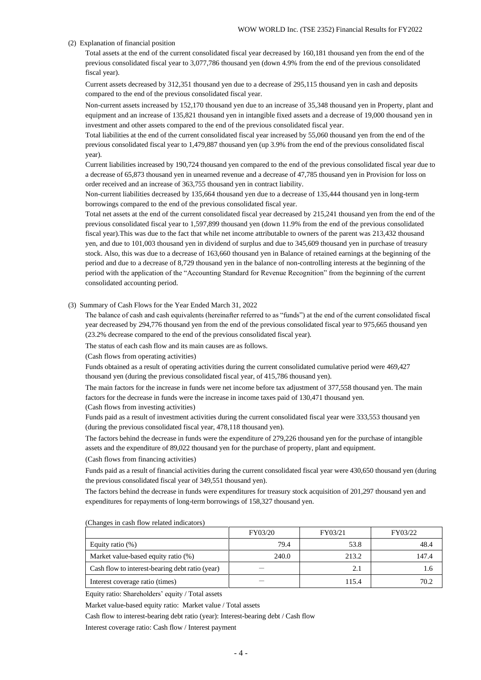### (2) Explanation of financial position

Total assets at the end of the current consolidated fiscal year decreased by 160,181 thousand yen from the end of the previous consolidated fiscal year to 3,077,786 thousand yen (down 4.9% from the end of the previous consolidated fiscal year).

Current assets decreased by 312,351 thousand yen due to a decrease of 295,115 thousand yen in cash and deposits compared to the end of the previous consolidated fiscal year.

Non-current assets increased by 152,170 thousand yen due to an increase of 35,348 thousand yen in Property, plant and equipment and an increase of 135,821 thousand yen in intangible fixed assets and a decrease of 19,000 thousand yen in investment and other assets compared to the end of the previous consolidated fiscal year.

Total liabilities at the end of the current consolidated fiscal year increased by 55,060 thousand yen from the end of the previous consolidated fiscal year to 1,479,887 thousand yen (up 3.9% from the end of the previous consolidated fiscal year).

Current liabilities increased by 190,724 thousand yen compared to the end of the previous consolidated fiscal year due to a decrease of 65,873 thousand yen in unearned revenue and a decrease of 47,785 thousand yen in Provision for loss on order received and an increase of 363,755 thousand yen in contract liability.

Non-current liabilities decreased by 135,664 thousand yen due to a decrease of 135,444 thousand yen in long-term borrowings compared to the end of the previous consolidated fiscal year.

Total net assets at the end of the current consolidated fiscal year decreased by 215,241 thousand yen from the end of the previous consolidated fiscal year to 1,597,899 thousand yen (down 11.9% from the end of the previous consolidated fiscal year).This was due to the fact that while net income attributable to owners of the parent was 213,432 thousand yen, and due to 101,003 thousand yen in dividend of surplus and due to 345,609 thousand yen in purchase of treasury stock. Also, this was due to a decrease of 163,660 thousand yen in Balance of retained earnings at the beginning of the period and due to a decrease of 8,729 thousand yen in the balance of non-controlling interests at the beginning of the period with the application of the "Accounting Standard for Revenue Recognition" from the beginning of the current consolidated accounting period.

(3) Summary of Cash Flows for the Year Ended March 31, 2022

The balance of cash and cash equivalents (hereinafter referred to as "funds") at the end of the current consolidated fiscal year decreased by 294,776 thousand yen from the end of the previous consolidated fiscal year to 975,665 thousand yen (23.2% decrease compared to the end of the previous consolidated fiscal year).

The status of each cash flow and its main causes are as follows.

(Cash flows from operating activities)

Funds obtained as a result of operating activities during the current consolidated cumulative period were 469,427 thousand yen (during the previous consolidated fiscal year, of 415,786 thousand yen).

The main factors for the increase in funds were net income before tax adjustment of 377,558 thousand yen. The main factors for the decrease in funds were the increase in income taxes paid of 130,471 thousand yen. (Cash flows from investing activities)

Funds paid as a result of investment activities during the current consolidated fiscal year were 333,553 thousand yen (during the previous consolidated fiscal year, 478,118 thousand yen).

The factors behind the decrease in funds were the expenditure of 279,226 thousand yen for the purchase of intangible assets and the expenditure of 89,022 thousand yen for the purchase of property, plant and equipment.

(Cash flows from financing activities)

Funds paid as a result of financial activities during the current consolidated fiscal year were 430,650 thousand yen (during the previous consolidated fiscal year of 349,551 thousand yen).

The factors behind the decrease in funds were expenditures for treasury stock acquisition of 201,297 thousand yen and expenditures for repayments of long-term borrowings of 158,327 thousand yen.

|                                                 | FY03/20 | FY03/21 | FY03/22 |
|-------------------------------------------------|---------|---------|---------|
| Equity ratio $(\%)$                             | 79.4    | 53.8    | 48.4    |
| Market value-based equity ratio (%)             | 240.0   | 213.2   | 147.4   |
| Cash flow to interest-bearing debt ratio (year) |         | 2.1     | l.6     |
| Interest coverage ratio (times)                 |         | 115.4   | 70.2    |

(Changes in cash flow related indicators)

Equity ratio: Shareholders' equity / Total assets

Market value-based equity ratio: Market value / Total assets

Cash flow to interest-bearing debt ratio (year): Interest-bearing debt / Cash flow

Interest coverage ratio: Cash flow / Interest payment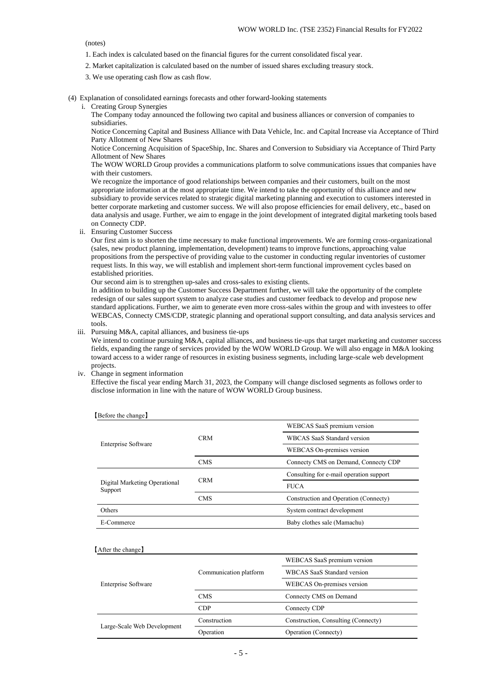(notes)

- 1. Each index is calculated based on the financial figures for the current consolidated fiscal year.
- 2. Market capitalization is calculated based on the number of issued shares excluding treasury stock.
- 3. We use operating cash flow as cash flow.
- (4) Explanation of consolidated earnings forecasts and other forward-looking statements
	- i. Creating Group Synergies

The Company today announced the following two capital and business alliances or conversion of companies to subsidiaries.

Notice Concerning Capital and Business Alliance with Data Vehicle, Inc. and Capital Increase via Acceptance of Third Party Allotment of New Shares

Notice Concerning Acquisition of SpaceShip, Inc. Shares and Conversion to Subsidiary via Acceptance of Third Party Allotment of New Shares

The WOW WORLD Group provides a communications platform to solve communications issues that companies have with their customers.

We recognize the importance of good relationships between companies and their customers, built on the most appropriate information at the most appropriate time. We intend to take the opportunity of this alliance and new subsidiary to provide services related to strategic digital marketing planning and execution to customers interested in better corporate marketing and customer success. We will also propose efficiencies for email delivery, etc., based on data analysis and usage. Further, we aim to engage in the joint development of integrated digital marketing tools based on Connecty CDP.

ii. Ensuring Customer Success

Our first aim is to shorten the time necessary to make functional improvements. We are forming cross-organizational (sales, new product planning, implementation, development) teams to improve functions, approaching value propositions from the perspective of providing value to the customer in conducting regular inventories of customer request lists. In this way, we will establish and implement short-term functional improvement cycles based on established priorities.

Our second aim is to strengthen up-sales and cross-sales to existing clients.

In addition to building up the Customer Success Department further, we will take the opportunity of the complete redesign of our sales support system to analyze case studies and customer feedback to develop and propose new standard applications. Further, we aim to generate even more cross-sales within the group and with investees to offer WEBCAS, Connecty CMS/CDP, strategic planning and operational support consulting, and data analysis services and tools.

iii. Pursuing M&A, capital alliances, and business tie-ups

We intend to continue pursuing M&A, capital alliances, and business tie-ups that target marketing and customer success fields, expanding the range of services provided by the WOW WORLD Group. We will also engage in M&A looking toward access to a wider range of resources in existing business segments, including large-scale web development projects.

iv. Change in segment information

Effective the fiscal year ending March 31, 2023, the Company will change disclosed segments as follows order to disclose information in line with the nature of WOW WORLD Group business.

| [Before the change]                      |            |                                         |  |  |
|------------------------------------------|------------|-----------------------------------------|--|--|
|                                          |            | WEBCAS SaaS premium version             |  |  |
|                                          | <b>CRM</b> | <b>WBCAS SaaS Standard version</b>      |  |  |
| <b>Enterprise Software</b>               |            | WEBCAS On-premises version              |  |  |
|                                          | <b>CMS</b> | Connecty CMS on Demand, Connecty CDP    |  |  |
|                                          |            | Consulting for e-mail operation support |  |  |
| Digital Marketing Operational<br>Support | <b>CRM</b> | <b>FUCA</b>                             |  |  |
|                                          | <b>CMS</b> | Construction and Operation (Connecty)   |  |  |
| Others                                   |            | System contract development             |  |  |
| E-Commerce                               |            | Baby clothes sale (Mamachu)             |  |  |

#### 【After the change】

|                             |                        | WEBCAS SaaS premium version         |  |
|-----------------------------|------------------------|-------------------------------------|--|
|                             | Communication platform | <b>WBCAS SaaS Standard version</b>  |  |
| Enterprise Software         |                        | WEBCAS On-premises version          |  |
|                             | <b>CMS</b>             | Connecty CMS on Demand              |  |
|                             | <b>CDP</b>             | Connecty CDP                        |  |
|                             | Construction           | Construction, Consulting (Connecty) |  |
| Large-Scale Web Development | Operation              | Operation (Connecty)                |  |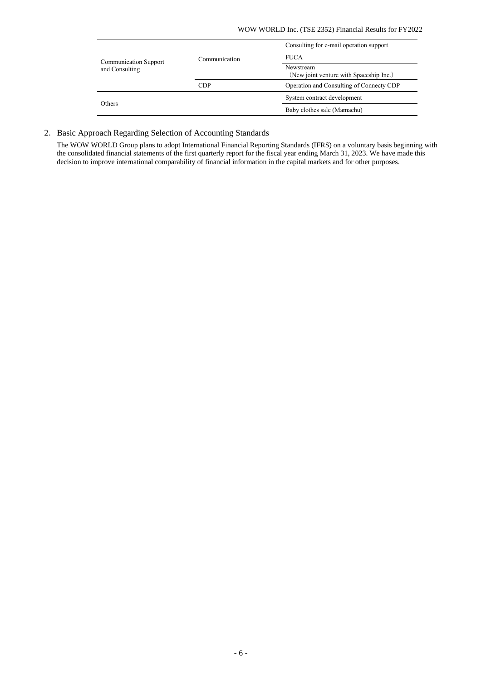|               | Consulting for e-mail operation support              |  |
|---------------|------------------------------------------------------|--|
| Communication | <b>FUCA</b>                                          |  |
|               | Newstream<br>(New joint venture with Spaceship Inc.) |  |
| CDP           | Operation and Consulting of Connecty CDP             |  |
|               | System contract development                          |  |
|               | Baby clothes sale (Mamachu)                          |  |
|               |                                                      |  |

# 2. Basic Approach Regarding Selection of Accounting Standards

The WOW WORLD Group plans to adopt International Financial Reporting Standards (IFRS) on a voluntary basis beginning with the consolidated financial statements of the first quarterly report for the fiscal year ending March 31, 2023. We have made this decision to improve international comparability of financial information in the capital markets and for other purposes.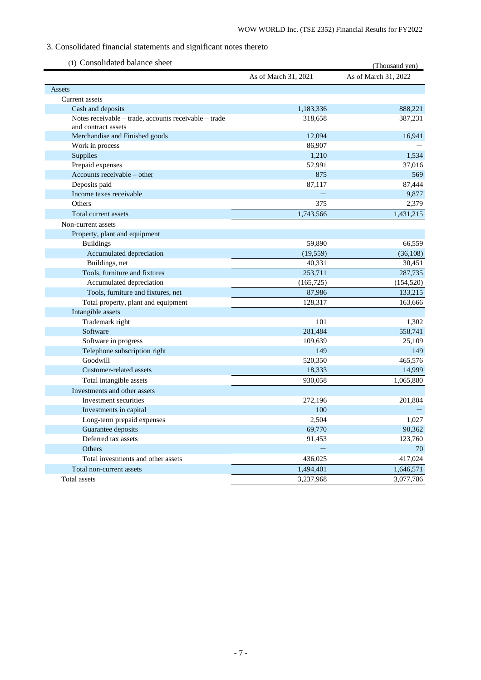# 3. Consolidated financial statements and significant notes thereto

<span id="page-8-0"></span>

| (1) Consolidated balance sheet                        |                      | (Thousand yen)       |
|-------------------------------------------------------|----------------------|----------------------|
|                                                       | As of March 31, 2021 | As of March 31, 2022 |
| Assets                                                |                      |                      |
| Current assets                                        |                      |                      |
| Cash and deposits                                     | 1,183,336            | 888,221              |
| Notes receivable - trade, accounts receivable - trade | 318,658              | 387,231              |
| and contract assets                                   |                      |                      |
| Merchandise and Finished goods                        | 12,094               | 16,941               |
| Work in process                                       | 86,907               |                      |
| Supplies                                              | 1,210                | 1,534                |
| Prepaid expenses                                      | 52,991               | 37,016               |
| Accounts receivable – other                           | 875                  | 569                  |
| Deposits paid                                         | 87,117               | 87,444               |
| Income taxes receivable                               |                      | 9,877                |
| Others                                                | 375                  | 2,379                |
| Total current assets                                  | 1,743,566            | 1,431,215            |
| Non-current assets                                    |                      |                      |
| Property, plant and equipment                         |                      |                      |
| <b>Buildings</b>                                      | 59,890               | 66,559               |
| Accumulated depreciation                              | (19, 559)            | (36, 108)            |
| Buildings, net                                        | 40,331               | 30,451               |
| Tools, furniture and fixtures                         | 253,711              | 287,735              |
| Accumulated depreciation                              | (165, 725)           | (154, 520)           |
| Tools, furniture and fixtures, net                    | 87,986               | 133,215              |
| Total property, plant and equipment                   | 128,317              | 163,666              |
| Intangible assets                                     |                      |                      |
| Trademark right                                       | 101                  | 1,302                |
| Software                                              | 281,484              | 558,741              |
| Software in progress                                  | 109,639              | 25,109               |
| Telephone subscription right                          | 149                  | 149                  |
| Goodwill                                              | 520,350              | 465,576              |
| Customer-related assets                               | 18,333               | 14,999               |
| Total intangible assets                               | 930,058              | 1,065,880            |
| Investments and other assets                          |                      |                      |
| Investment securities                                 | 272,196              | 201,804              |
| Investments in capital                                | 100                  |                      |
| Long-term prepaid expenses                            | 2,504                | 1,027                |
| Guarantee deposits                                    | 69,770               | 90,362               |
| Deferred tax assets                                   | 91,453               | 123,760              |
| Others                                                |                      | 70                   |
| Total investments and other assets                    | 436,025              | 417,024              |
| Total non-current assets                              | 1,494,401            | 1,646,571            |
| Total assets                                          | 3,237,968            | 3,077,786            |
|                                                       |                      |                      |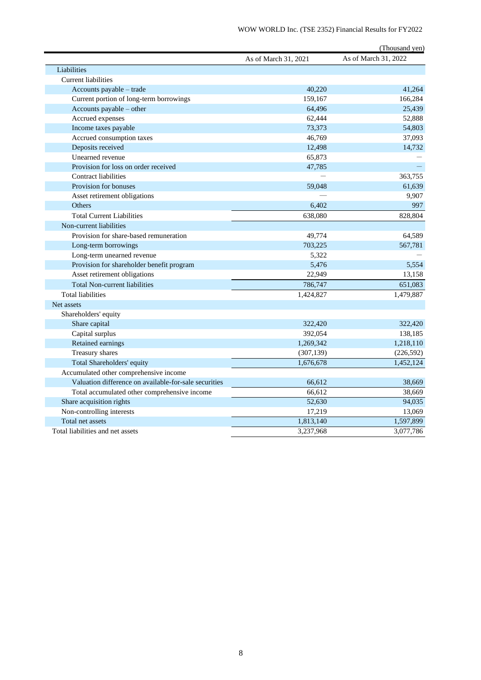|                                                       |                      | (Thousand yen)       |
|-------------------------------------------------------|----------------------|----------------------|
|                                                       | As of March 31, 2021 | As of March 31, 2022 |
| Liabilities                                           |                      |                      |
| <b>Current liabilities</b>                            |                      |                      |
| Accounts payable - trade                              | 40,220               | 41,264               |
| Current portion of long-term borrowings               | 159,167              | 166,284              |
| Accounts payable - other                              | 64,496               | 25,439               |
| Accrued expenses                                      | 62,444               | 52,888               |
| Income taxes payable                                  | 73,373               | 54,803               |
| Accrued consumption taxes                             | 46,769               | 37,093               |
| Deposits received                                     | 12,498               | 14,732               |
| Unearned revenue                                      | 65,873               |                      |
| Provision for loss on order received                  | 47,785               |                      |
| <b>Contract liabilities</b>                           |                      | 363,755              |
| Provision for bonuses                                 | 59,048               | 61,639               |
| Asset retirement obligations                          |                      | 9,907                |
| Others                                                | 6,402                | 997                  |
| <b>Total Current Liabilities</b>                      | 638,080              | 828,804              |
| Non-current liabilities                               |                      |                      |
| Provision for share-based remuneration                | 49,774               | 64,589               |
| Long-term borrowings                                  | 703,225              | 567,781              |
| Long-term unearned revenue                            | 5,322                |                      |
| Provision for shareholder benefit program             | 5,476                | 5,554                |
| Asset retirement obligations                          | 22,949               | 13,158               |
| <b>Total Non-current liabilities</b>                  | 786,747              | 651,083              |
| <b>Total liabilities</b>                              | 1,424,827            | 1,479,887            |
| Net assets                                            |                      |                      |
| Shareholders' equity                                  |                      |                      |
| Share capital                                         | 322,420              | 322,420              |
| Capital surplus                                       | 392,054              | 138,185              |
| Retained earnings                                     | 1,269,342            | 1,218,110            |
| Treasury shares                                       | (307, 139)           | (226, 592)           |
| Total Shareholders' equity                            | 1,676,678            | 1,452,124            |
| Accumulated other comprehensive income                |                      |                      |
| Valuation difference on available-for-sale securities | 66,612               | 38,669               |
| Total accumulated other comprehensive income          | 66,612               | 38,669               |
| Share acquisition rights                              | 52,630               | 94,035               |
| Non-controlling interests                             | 17,219               | 13,069               |
| Total net assets                                      | 1,813,140            | 1,597,899            |
| Total liabilities and net assets                      | 3,237,968            | 3,077,786            |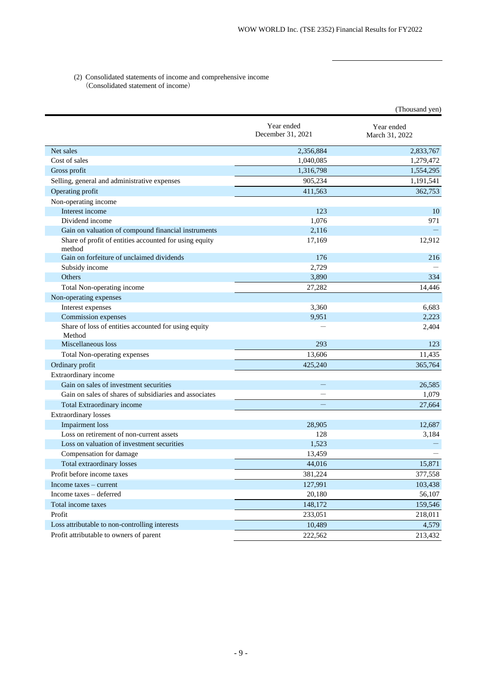## (2) Consolidated statements of income and comprehensive income (Consolidated statement of income)

|                                                                  |                                 | (Thousand yen)               |
|------------------------------------------------------------------|---------------------------------|------------------------------|
|                                                                  | Year ended<br>December 31, 2021 | Year ended<br>March 31, 2022 |
| Net sales                                                        | 2,356,884                       | 2,833,767                    |
| Cost of sales                                                    | 1,040,085                       | 1,279,472                    |
| Gross profit                                                     | 1,316,798                       | 1,554,295                    |
| Selling, general and administrative expenses                     | 905,234                         | 1,191,541                    |
| Operating profit                                                 | 411,563                         | 362,753                      |
| Non-operating income                                             |                                 |                              |
| Interest income                                                  | 123                             | 10                           |
| Dividend income                                                  | 1,076                           | 971                          |
| Gain on valuation of compound financial instruments              | 2,116                           |                              |
| Share of profit of entities accounted for using equity<br>method | 17,169                          | 12,912                       |
| Gain on forfeiture of unclaimed dividends                        | 176                             | 216                          |
| Subsidy income                                                   | 2,729                           |                              |
| Others                                                           | 3,890                           | 334                          |
| Total Non-operating income                                       | 27,282                          | 14,446                       |
| Non-operating expenses                                           |                                 |                              |
| Interest expenses                                                | 3,360                           | 6,683                        |
| Commission expenses                                              | 9,951                           | 2,223                        |
| Share of loss of entities accounted for using equity<br>Method   |                                 | 2,404                        |
| Miscellaneous loss                                               | 293                             | 123                          |
| Total Non-operating expenses                                     | 13,606                          | 11,435                       |
| Ordinary profit                                                  | 425,240                         | 365,764                      |
| Extraordinary income                                             |                                 |                              |
| Gain on sales of investment securities                           | -                               | 26,585                       |
| Gain on sales of shares of subsidiaries and associates           |                                 | 1,079                        |
| Total Extraordinary income                                       |                                 | 27,664                       |
| Extraordinary losses                                             |                                 |                              |
| <b>Impairment</b> loss                                           | 28,905                          | 12,687                       |
| Loss on retirement of non-current assets                         | 128                             | 3,184                        |
| Loss on valuation of investment securities                       | 1,523                           |                              |
| Compensation for damage                                          | 13,459                          |                              |
| Total extraordinary losses                                       | 44,016                          | 15,871                       |
| Profit before income taxes                                       | 381,224                         | 377,558                      |
| Income $taxes$ – current                                         | 127,991                         | 103,438                      |
| Income taxes - deferred                                          | 20,180                          | 56,107                       |
| Total income taxes                                               | 148,172                         | 159,546                      |
| Profit                                                           | 233,051                         | 218,011                      |
| Loss attributable to non-controlling interests                   | 10,489                          | 4,579                        |
| Profit attributable to owners of parent                          | 222,562                         | 213,432                      |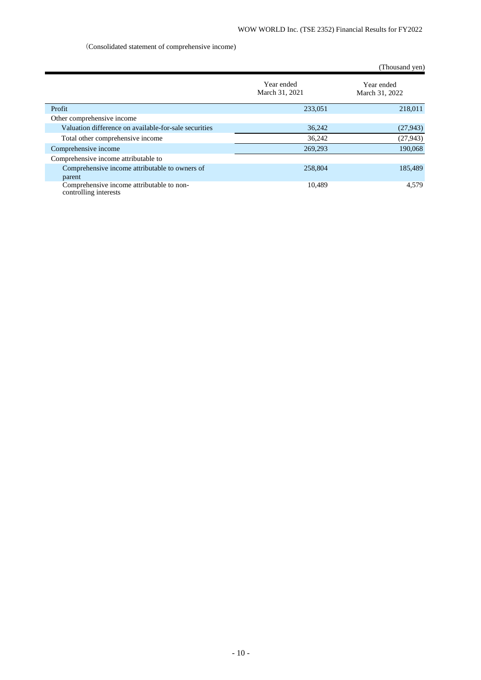# (Consolidated statement of comprehensive income)

|                                                                    |                              | (Thousand yen)               |
|--------------------------------------------------------------------|------------------------------|------------------------------|
|                                                                    | Year ended<br>March 31, 2021 | Year ended<br>March 31, 2022 |
| Profit                                                             | 233,051                      | 218,011                      |
| Other comprehensive income                                         |                              |                              |
| Valuation difference on available-for-sale securities              | 36,242                       | (27, 943)                    |
| Total other comprehensive income                                   | 36,242                       | (27, 943)                    |
| Comprehensive income                                               | 269,293                      | 190,068                      |
| Comprehensive income attributable to                               |                              |                              |
| Comprehensive income attributable to owners of                     | 258,804                      | 185,489                      |
| parent                                                             |                              |                              |
| Comprehensive income attributable to non-<br>controlling interests | 10,489                       | 4,579                        |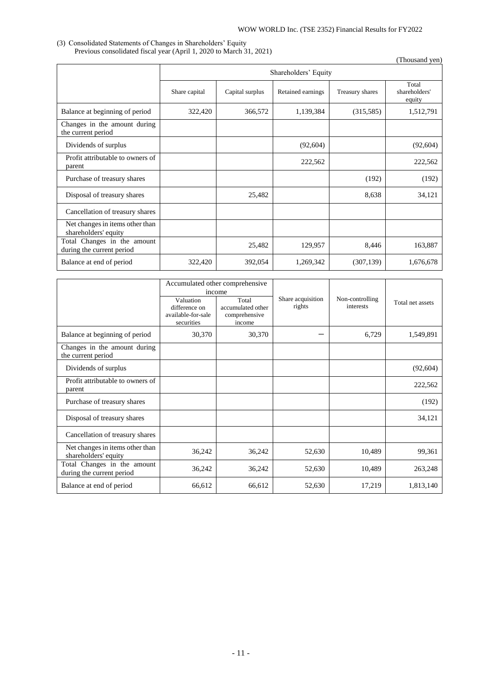## (3) Consolidated Statements of Changes in Shareholders' Equity Previous consolidated fiscal year (April 1, 2020 to March 31, 2021)

(Thousand yen)

|                                                          | Shareholders' Equity |                 |                   |                 |                                  |
|----------------------------------------------------------|----------------------|-----------------|-------------------|-----------------|----------------------------------|
|                                                          | Share capital        | Capital surplus | Retained earnings | Treasury shares | Total<br>shareholders'<br>equity |
| Balance at beginning of period                           | 322,420              | 366,572         | 1,139,384         | (315,585)       | 1,512,791                        |
| Changes in the amount during<br>the current period       |                      |                 |                   |                 |                                  |
| Dividends of surplus                                     |                      |                 | (92, 604)         |                 | (92, 604)                        |
| Profit attributable to owners of<br>parent               |                      |                 | 222,562           |                 | 222,562                          |
| Purchase of treasury shares                              |                      |                 |                   | (192)           | (192)                            |
| Disposal of treasury shares                              |                      | 25,482          |                   | 8,638           | 34,121                           |
| Cancellation of treasury shares                          |                      |                 |                   |                 |                                  |
| Net changes in items other than<br>shareholders' equity  |                      |                 |                   |                 |                                  |
| Total Changes in the amount<br>during the current period |                      | 25,482          | 129,957           | 8,446           | 163,887                          |
| Balance at end of period                                 | 322,420              | 392,054         | 1,269,342         | (307, 139)      | 1,676,678                        |

|                                                          | income                                                         | Accumulated other comprehensive                       |                             |                              |                  |
|----------------------------------------------------------|----------------------------------------------------------------|-------------------------------------------------------|-----------------------------|------------------------------|------------------|
|                                                          | Valuation<br>difference on<br>available-for-sale<br>securities | Total<br>accumulated other<br>comprehensive<br>income | Share acquisition<br>rights | Non-controlling<br>interests | Total net assets |
| Balance at beginning of period                           | 30,370                                                         | 30,370                                                |                             | 6,729                        | 1,549,891        |
| Changes in the amount during<br>the current period       |                                                                |                                                       |                             |                              |                  |
| Dividends of surplus                                     |                                                                |                                                       |                             |                              | (92, 604)        |
| Profit attributable to owners of<br>parent               |                                                                |                                                       |                             |                              | 222,562          |
| Purchase of treasury shares                              |                                                                |                                                       |                             |                              | (192)            |
| Disposal of treasury shares                              |                                                                |                                                       |                             |                              | 34,121           |
| Cancellation of treasury shares                          |                                                                |                                                       |                             |                              |                  |
| Net changes in items other than<br>shareholders' equity  | 36,242                                                         | 36,242                                                | 52,630                      | 10,489                       | 99,361           |
| Total Changes in the amount<br>during the current period | 36,242                                                         | 36,242                                                | 52,630                      | 10,489                       | 263,248          |
| Balance at end of period                                 | 66,612                                                         | 66,612                                                | 52,630                      | 17,219                       | 1,813,140        |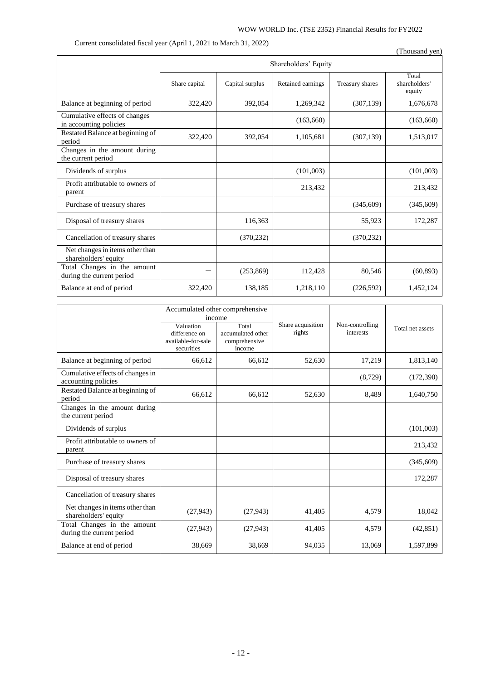# WOW WORLD Inc. (TSE 2352) Financial Results for FY2022

Current consolidated fiscal year (April 1, 2021 to March 31, 2022)

|                                                          |               |                      |                   |                 | (Thousand yen)                   |
|----------------------------------------------------------|---------------|----------------------|-------------------|-----------------|----------------------------------|
|                                                          |               | Shareholders' Equity |                   |                 |                                  |
|                                                          | Share capital | Capital surplus      | Retained earnings | Treasury shares | Total<br>shareholders'<br>equity |
| Balance at beginning of period                           | 322,420       | 392,054              | 1,269,342         | (307, 139)      | 1,676,678                        |
| Cumulative effects of changes<br>in accounting policies  |               |                      | (163,660)         |                 | (163,660)                        |
| Restated Balance at beginning of<br>period               | 322,420       | 392,054              | 1,105,681         | (307, 139)      | 1,513,017                        |
| Changes in the amount during<br>the current period       |               |                      |                   |                 |                                  |
| Dividends of surplus                                     |               |                      | (101,003)         |                 | (101,003)                        |
| Profit attributable to owners of<br>parent               |               |                      | 213,432           |                 | 213,432                          |
| Purchase of treasury shares                              |               |                      |                   | (345,609)       | (345,609)                        |
| Disposal of treasury shares                              |               | 116,363              |                   | 55,923          | 172,287                          |
| Cancellation of treasury shares                          |               | (370, 232)           |                   | (370, 232)      |                                  |
| Net changes in items other than<br>shareholders' equity  |               |                      |                   |                 |                                  |
| Total Changes in the amount<br>during the current period |               | (253, 869)           | 112,428           | 80,546          | (60, 893)                        |
| Balance at end of period                                 | 322,420       | 138,185              | 1,218,110         | (226, 592)      | 1,452,124                        |

|                                                          | Accumulated other comprehensive<br>income                      |                                                       |                             |                              |                  |
|----------------------------------------------------------|----------------------------------------------------------------|-------------------------------------------------------|-----------------------------|------------------------------|------------------|
|                                                          | Valuation<br>difference on<br>available-for-sale<br>securities | Total<br>accumulated other<br>comprehensive<br>income | Share acquisition<br>rights | Non-controlling<br>interests | Total net assets |
| Balance at beginning of period                           | 66,612                                                         | 66,612                                                | 52,630                      | 17,219                       | 1,813,140        |
| Cumulative effects of changes in<br>accounting policies  |                                                                |                                                       |                             | (8, 729)                     | (172,390)        |
| Restated Balance at beginning of<br>period               | 66,612                                                         | 66,612                                                | 52,630                      | 8,489                        | 1,640,750        |
| Changes in the amount during<br>the current period       |                                                                |                                                       |                             |                              |                  |
| Dividends of surplus                                     |                                                                |                                                       |                             |                              | (101,003)        |
| Profit attributable to owners of<br>parent               |                                                                |                                                       |                             |                              | 213,432          |
| Purchase of treasury shares                              |                                                                |                                                       |                             |                              | (345,609)        |
| Disposal of treasury shares                              |                                                                |                                                       |                             |                              | 172,287          |
| Cancellation of treasury shares                          |                                                                |                                                       |                             |                              |                  |
| Net changes in items other than<br>shareholders' equity  | (27, 943)                                                      | (27, 943)                                             | 41,405                      | 4,579                        | 18,042           |
| Total Changes in the amount<br>during the current period | (27,943)                                                       | (27, 943)                                             | 41,405                      | 4,579                        | (42, 851)        |
| Balance at end of period                                 | 38,669                                                         | 38,669                                                | 94,035                      | 13,069                       | 1,597,899        |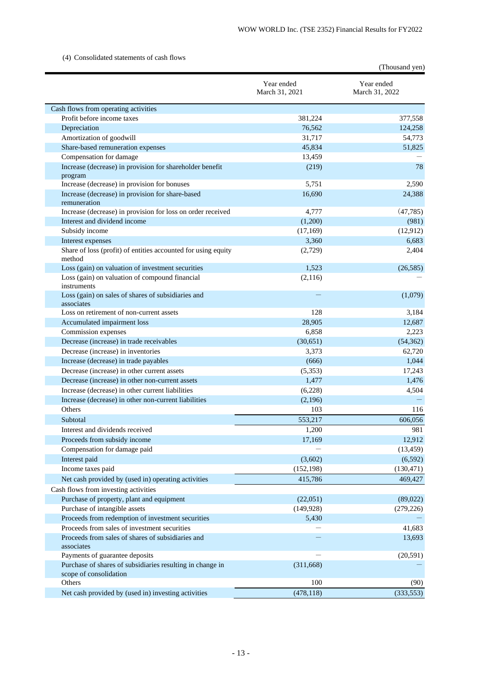# (4) Consolidated statements of cash flows

|                                                                                     |                              | (Thousand yen)               |
|-------------------------------------------------------------------------------------|------------------------------|------------------------------|
|                                                                                     | Year ended<br>March 31, 2021 | Year ended<br>March 31, 2022 |
| Cash flows from operating activities                                                |                              |                              |
| Profit before income taxes                                                          | 381,224                      | 377,558                      |
| Depreciation                                                                        | 76,562                       | 124,258                      |
| Amortization of goodwill                                                            | 31,717                       | 54,773                       |
| Share-based remuneration expenses                                                   | 45,834                       | 51,825                       |
| Compensation for damage                                                             | 13,459                       |                              |
| Increase (decrease) in provision for shareholder benefit<br>program                 | (219)                        | 78                           |
| Increase (decrease) in provision for bonuses                                        | 5,751                        | 2,590                        |
| Increase (decrease) in provision for share-based<br>remuneration                    | 16,690                       | 24,388                       |
| Increase (decrease) in provision for loss on order received                         | 4,777                        | (47, 785)                    |
| Interest and dividend income                                                        | (1,200)                      | (981)                        |
| Subsidy income                                                                      | (17,169)                     | (12, 912)                    |
| Interest expenses                                                                   | 3,360                        | 6,683                        |
| Share of loss (profit) of entities accounted for using equity<br>method             | (2,729)                      | 2,404                        |
| Loss (gain) on valuation of investment securities                                   | 1,523                        | (26, 585)                    |
| Loss (gain) on valuation of compound financial<br>instruments                       | (2,116)                      |                              |
| Loss (gain) on sales of shares of subsidiaries and<br>associates                    |                              | (1,079)                      |
| Loss on retirement of non-current assets                                            | 128                          | 3,184                        |
| Accumulated impairment loss                                                         | 28,905                       | 12,687                       |
| Commission expenses                                                                 | 6,858                        | 2,223                        |
| Decrease (increase) in trade receivables                                            | (30,651)                     | (54, 362)                    |
| Decrease (increase) in inventories                                                  | 3,373                        | 62,720                       |
| Increase (decrease) in trade payables                                               | (666)                        | 1,044                        |
| Decrease (increase) in other current assets                                         | (5,353)                      | 17,243                       |
| Decrease (increase) in other non-current assets                                     | 1,477                        | 1,476                        |
| Increase (decrease) in other current liabilities                                    | (6,228)                      | 4,504                        |
| Increase (decrease) in other non-current liabilities                                | (2,196)                      |                              |
| Others                                                                              | 103                          | 116                          |
| Subtotal                                                                            | 553,217                      | 606,056                      |
| Interest and dividends received                                                     | 1,200                        | 981                          |
| Proceeds from subsidy income                                                        | 17,169                       | 12,912                       |
| Compensation for damage paid                                                        |                              | (13, 459)                    |
| Interest paid                                                                       | (3,602)                      | (6, 592)                     |
| Income taxes paid                                                                   | (152, 198)                   | (130, 471)                   |
| Net cash provided by (used in) operating activities                                 | 415,786                      | 469,427                      |
| Cash flows from investing activities                                                |                              |                              |
| Purchase of property, plant and equipment                                           | (22,051)                     | (89,022)                     |
| Purchase of intangible assets                                                       | (149, 928)                   | (279, 226)                   |
| Proceeds from redemption of investment securities                                   | 5,430                        |                              |
| Proceeds from sales of investment securities                                        |                              | 41,683                       |
| Proceeds from sales of shares of subsidiaries and<br>associates                     |                              | 13,693                       |
| Payments of guarantee deposits                                                      |                              | (20, 591)                    |
| Purchase of shares of subsidiaries resulting in change in<br>scope of consolidation | (311, 668)                   |                              |
| Others                                                                              | 100                          | (90)                         |
| Net cash provided by (used in) investing activities                                 | (478, 118)                   | (333, 553)                   |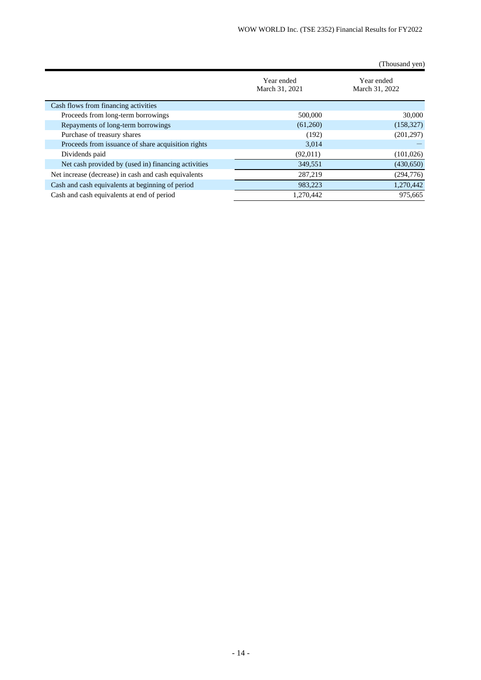|                                                      |                              | (Thousand yen)               |
|------------------------------------------------------|------------------------------|------------------------------|
|                                                      | Year ended<br>March 31, 2021 | Year ended<br>March 31, 2022 |
| Cash flows from financing activities                 |                              |                              |
| Proceeds from long-term borrowings                   | 500,000                      | 30,000                       |
| Repayments of long-term borrowings                   | (61,260)                     | (158, 327)                   |
| Purchase of treasury shares                          | (192)                        | (201, 297)                   |
| Proceeds from issuance of share acquisition rights   | 3,014                        |                              |
| Dividends paid                                       | (92,011)                     | (101, 026)                   |
| Net cash provided by (used in) financing activities  | 349,551                      | (430,650)                    |
| Net increase (decrease) in cash and cash equivalents | 287,219                      | (294, 776)                   |
| Cash and cash equivalents at beginning of period     | 983,223                      | 1,270,442                    |
| Cash and cash equivalents at end of period           | 1.270.442                    | 975,665                      |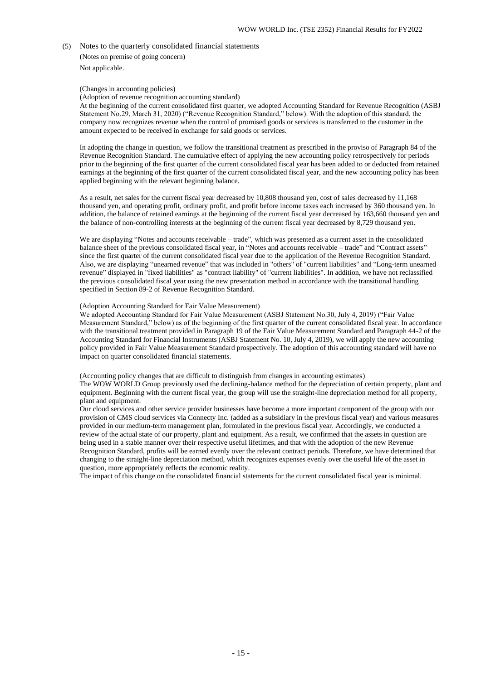(5) Notes to the quarterly consolidated financial statements

(Notes on premise of going concern)

Not applicable.

# (Changes in accounting policies)

(Adoption of revenue recognition accounting standard)

At the beginning of the current consolidated first quarter, we adopted Accounting Standard for Revenue Recognition (ASBJ Statement No.29, March 31, 2020) ("Revenue Recognition Standard," below). With the adoption of this standard, the company now recognizes revenue when the control of promised goods or services is transferred to the customer in the amount expected to be received in exchange for said goods or services.

In adopting the change in question, we follow the transitional treatment as prescribed in the proviso of Paragraph 84 of the Revenue Recognition Standard. The cumulative effect of applying the new accounting policy retrospectively for periods prior to the beginning of the first quarter of the current consolidated fiscal year has been added to or deducted from retained earnings at the beginning of the first quarter of the current consolidated fiscal year, and the new accounting policy has been applied beginning with the relevant beginning balance.

As a result, net sales for the current fiscal year decreased by 10,808 thousand yen, cost of sales decreased by 11,168 thousand yen, and operating profit, ordinary profit, and profit before income taxes each increased by 360 thousand yen. In addition, the balance of retained earnings at the beginning of the current fiscal year decreased by 163,660 thousand yen and the balance of non-controlling interests at the beginning of the current fiscal year decreased by 8,729 thousand yen.

We are displaying "Notes and accounts receivable – trade", which was presented as a current asset in the consolidated balance sheet of the previous consolidated fiscal year, in "Notes and accounts receivable – trade" and "Contract assets" since the first quarter of the current consolidated fiscal year due to the application of the Revenue Recognition Standard. Also, we are displaying "unearned revenue" that was included in "others" of "current liabilities" and "Long-term unearned revenue" displayed in "fixed liabilities" as "contract liability" of "current liabilities". In addition, we have not reclassified the previous consolidated fiscal year using the new presentation method in accordance with the transitional handling specified in Section 89-2 of Revenue Recognition Standard.

## (Adoption Accounting Standard for Fair Value Measurement)

We adopted Accounting Standard for Fair Value Measurement (ASBJ Statement No.30, July 4, 2019) ("Fair Value Measurement Standard," below) as of the beginning of the first quarter of the current consolidated fiscal year. In accordance with the transitional treatment provided in Paragraph 19 of the Fair Value Measurement Standard and Paragraph 44-2 of the Accounting Standard for Financial Instruments (ASBJ Statement No. 10, July 4, 2019), we will apply the new accounting policy provided in Fair Value Measurement Standard prospectively. The adoption of this accounting standard will have no impact on quarter consolidated financial statements.

(Accounting policy changes that are difficult to distinguish from changes in accounting estimates) The WOW WORLD Group previously used the declining-balance method for the depreciation of certain property, plant and equipment. Beginning with the current fiscal year, the group will use the straight-line depreciation method for all property, plant and equipment.

Our cloud services and other service provider businesses have become a more important component of the group with our provision of CMS cloud services via Connecty Inc. (added as a subsidiary in the previous fiscal year) and various measures provided in our medium-term management plan, formulated in the previous fiscal year. Accordingly, we conducted a review of the actual state of our property, plant and equipment. As a result, we confirmed that the assets in question are being used in a stable manner over their respective useful lifetimes, and that with the adoption of the new Revenue Recognition Standard, profits will be earned evenly over the relevant contract periods. Therefore, we have determined that changing to the straight-line depreciation method, which recognizes expenses evenly over the useful life of the asset in question, more appropriately reflects the economic reality.

The impact of this change on the consolidated financial statements for the current consolidated fiscal year is minimal.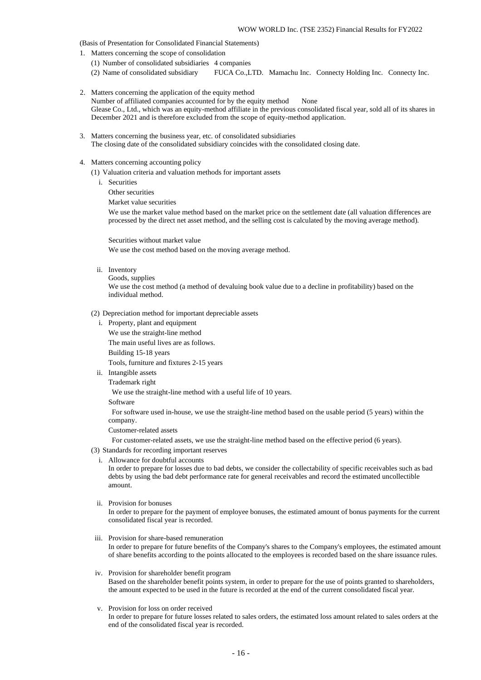(Basis of Presentation for Consolidated Financial Statements)

- 1. Matters concerning the scope of consolidation
	- (1) Number of consolidated subsidiaries 4 companies
	- (2) Name of consolidated subsidiary FUCA Co.,LTD. Mamachu Inc. Connecty Holding Inc. Connecty Inc.
- 2. Matters concerning the application of the equity method Number of affiliated companies accounted for by the equity method None Glease Co., Ltd., which was an equity-method affiliate in the previous consolidated fiscal year, sold all of its shares in December 2021 and is therefore excluded from the scope of equity-method application.
- 3. Matters concerning the business year, etc. of consolidated subsidiaries The closing date of the consolidated subsidiary coincides with the consolidated closing date.
- 4. Matters concerning accounting policy
	- (1) Valuation criteria and valuation methods for important assets
		- i. Securities

Other securities

Market value securities

We use the market value method based on the market price on the settlement date (all valuation differences are processed by the direct net asset method, and the selling cost is calculated by the moving average method).

Securities without market value We use the cost method based on the moving average method.

ii. Inventory

Goods, supplies We use the cost method (a method of devaluing book value due to a decline in profitability) based on the individual method.

- (2) Depreciation method for important depreciable assets
	- i. Property, plant and equipment We use the straight-line method The main useful lives are as follows. Building 15-18 years Tools, furniture and fixtures 2-15 years
	- ii. Intangible assets

Trademark right

We use the straight-line method with a useful life of 10 years.

Software

For software used in-house, we use the straight-line method based on the usable period (5 years) within the company.

Customer-related assets

For customer-related assets, we use the straight-line method based on the effective period (6 years).

- (3) Standards for recording important reserves
	- i. Allowance for doubtful accounts

In order to prepare for losses due to bad debts, we consider the collectability of specific receivables such as bad debts by using the bad debt performance rate for general receivables and record the estimated uncollectible amount.

ii. Provision for bonuses

In order to prepare for the payment of employee bonuses, the estimated amount of bonus payments for the current consolidated fiscal year is recorded.

iii. Provision for share-based remuneration

In order to prepare for future benefits of the Company's shares to the Company's employees, the estimated amount of share benefits according to the points allocated to the employees is recorded based on the share issuance rules.

- iv. Provision for shareholder benefit program Based on the shareholder benefit points system, in order to prepare for the use of points granted to shareholders, the amount expected to be used in the future is recorded at the end of the current consolidated fiscal year.
- v. Provision for loss on order received

In order to prepare for future losses related to sales orders, the estimated loss amount related to sales orders at the end of the consolidated fiscal year is recorded.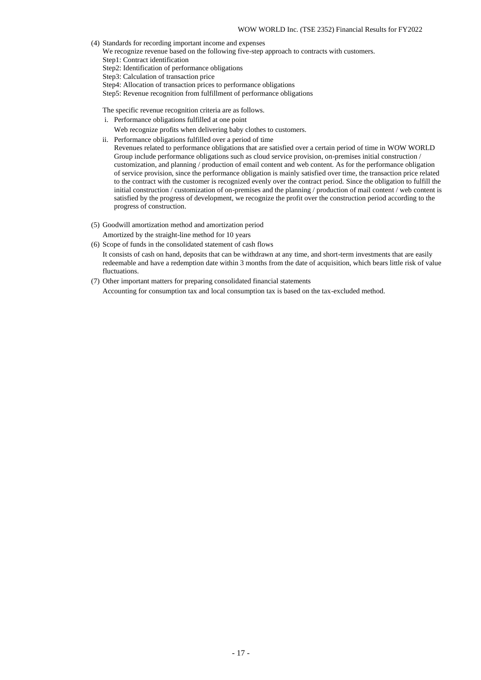- (4) Standards for recording important income and expenses
- We recognize revenue based on the following five-step approach to contracts with customers.

Step1: Contract identification

- Step2: Identification of performance obligations
- Step3: Calculation of transaction price
- Step4: Allocation of transaction prices to performance obligations
- Step5: Revenue recognition from fulfillment of performance obligations

The specific revenue recognition criteria are as follows.

- i. Performance obligations fulfilled at one point
	- Web recognize profits when delivering baby clothes to customers.
- ii. Performance obligations fulfilled over a period of time

Revenues related to performance obligations that are satisfied over a certain period of time in WOW WORLD Group include performance obligations such as cloud service provision, on-premises initial construction / customization, and planning / production of email content and web content. As for the performance obligation of service provision, since the performance obligation is mainly satisfied over time, the transaction price related to the contract with the customer is recognized evenly over the contract period. Since the obligation to fulfill the initial construction / customization of on-premises and the planning / production of mail content / web content is satisfied by the progress of development, we recognize the profit over the construction period according to the progress of construction.

(5) Goodwill amortization method and amortization period

Amortized by the straight-line method for 10 years

- (6) Scope of funds in the consolidated statement of cash flows It consists of cash on hand, deposits that can be withdrawn at any time, and short-term investments that are easily redeemable and have a redemption date within 3 months from the date of acquisition, which bears little risk of value fluctuations.
- (7) Other important matters for preparing consolidated financial statements Accounting for consumption tax and local consumption tax is based on the tax-excluded method.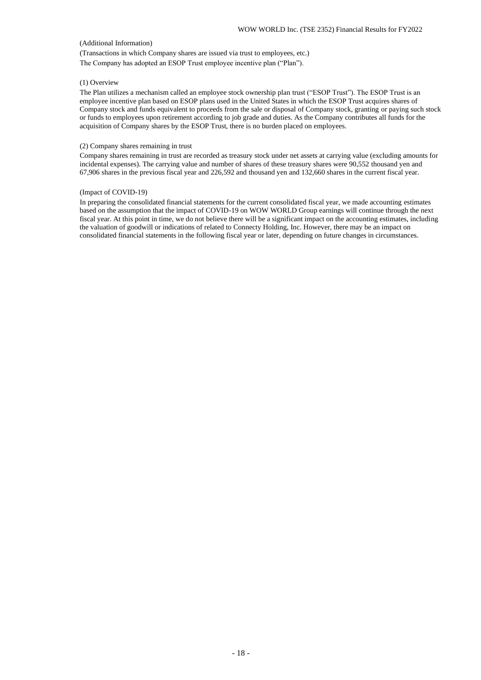## (Additional Information)

(Transactions in which Company shares are issued via trust to employees, etc.) The Company has adopted an ESOP Trust employee incentive plan ("Plan").

## (1) Overview

The Plan utilizes a mechanism called an employee stock ownership plan trust ("ESOP Trust"). The ESOP Trust is an employee incentive plan based on ESOP plans used in the United States in which the ESOP Trust acquires shares of Company stock and funds equivalent to proceeds from the sale or disposal of Company stock, granting or paying such stock or funds to employees upon retirement according to job grade and duties. As the Company contributes all funds for the acquisition of Company shares by the ESOP Trust, there is no burden placed on employees.

## (2) Company shares remaining in trust

Company shares remaining in trust are recorded as treasury stock under net assets at carrying value (excluding amounts for incidental expenses). The carrying value and number of shares of these treasury shares were 90,552 thousand yen and 67,906 shares in the previous fiscal year and 226,592 and thousand yen and 132,660 shares in the current fiscal year.

#### (Impact of COVID-19)

In preparing the consolidated financial statements for the current consolidated fiscal year, we made accounting estimates based on the assumption that the impact of COVID-19 on WOW WORLD Group earnings will continue through the next fiscal year. At this point in time, we do not believe there will be a significant impact on the accounting estimates, including the valuation of goodwill or indications of related to Connecty Holding, Inc. However, there may be an impact on consolidated financial statements in the following fiscal year or later, depending on future changes in circumstances.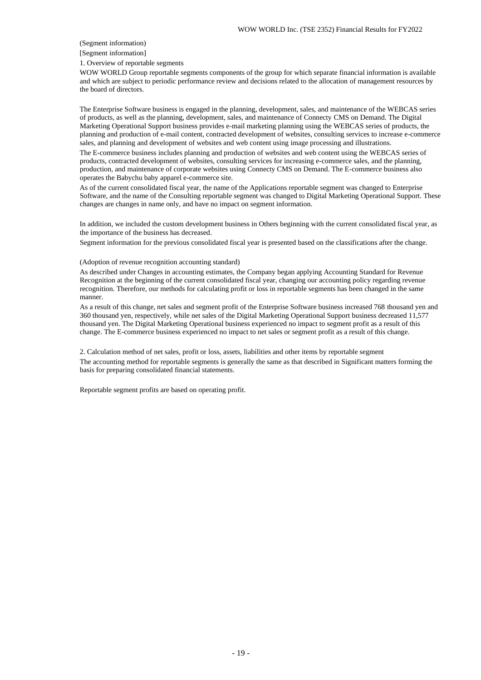## (Segment information)

[Segment information]

1. Overview of reportable segments

WOW WORLD Group reportable segments components of the group for which separate financial information is available and which are subject to periodic performance review and decisions related to the allocation of management resources by the board of directors.

The Enterprise Software business is engaged in the planning, development, sales, and maintenance of the WEBCAS series of products, as well as the planning, development, sales, and maintenance of Connecty CMS on Demand. The Digital Marketing Operational Support business provides e-mail marketing planning using the WEBCAS series of products, the planning and production of e-mail content, contracted development of websites, consulting services to increase e-commerce sales, and planning and development of websites and web content using image processing and illustrations.

The E-commerce business includes planning and production of websites and web content using the WEBCAS series of products, contracted development of websites, consulting services for increasing e-commerce sales, and the planning, production, and maintenance of corporate websites using Connecty CMS on Demand. The E-commerce business also operates the Babychu baby apparel e-commerce site.

As of the current consolidated fiscal year, the name of the Applications reportable segment was changed to Enterprise Software, and the name of the Consulting reportable segment was changed to Digital Marketing Operational Support. These changes are changes in name only, and have no impact on segment information.

In addition, we included the custom development business in Others beginning with the current consolidated fiscal year, as the importance of the business has decreased.

Segment information for the previous consolidated fiscal year is presented based on the classifications after the change.

### (Adoption of revenue recognition accounting standard)

As described under Changes in accounting estimates, the Company began applying Accounting Standard for Revenue Recognition at the beginning of the current consolidated fiscal year, changing our accounting policy regarding revenue recognition. Therefore, our methods for calculating profit or loss in reportable segments has been changed in the same manner.

As a result of this change, net sales and segment profit of the Enterprise Software business increased 768 thousand yen and 360 thousand yen, respectively, while net sales of the Digital Marketing Operational Support business decreased 11,577 thousand yen. The Digital Marketing Operational business experienced no impact to segment profit as a result of this change. The E-commerce business experienced no impact to net sales or segment profit as a result of this change.

2. Calculation method of net sales, profit or loss, assets, liabilities and other items by reportable segment The accounting method for reportable segments is generally the same as that described in Significant matters forming the basis for preparing consolidated financial statements.

Reportable segment profits are based on operating profit.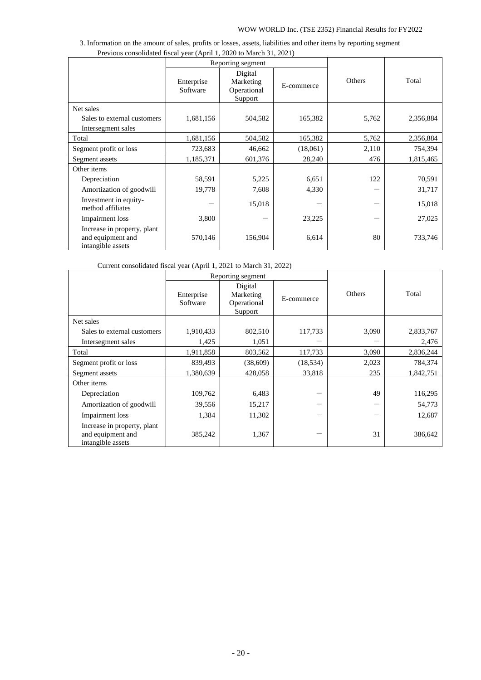| 3. Information on the amount of sales, profits or losses, assets, liabilities and other items by reporting segment |  |
|--------------------------------------------------------------------------------------------------------------------|--|
| Previous consolidated fiscal year (April 1, 2020 to March 31, 2021)                                                |  |

|                                                                       | Reporting segment      |                                                |            |        |           |
|-----------------------------------------------------------------------|------------------------|------------------------------------------------|------------|--------|-----------|
|                                                                       | Enterprise<br>Software | Digital<br>Marketing<br>Operational<br>Support | E-commerce | Others | Total     |
| Net sales                                                             |                        |                                                |            |        |           |
| Sales to external customers<br>Intersegment sales                     | 1,681,156              | 504,582                                        | 165,382    | 5,762  | 2,356,884 |
| Total                                                                 | 1,681,156              | 504,582                                        | 165,382    | 5,762  | 2,356,884 |
| Segment profit or loss                                                | 723,683                | 46,662                                         | (18,061)   | 2,110  | 754,394   |
| Segment assets                                                        | 1,185,371              | 601,376                                        | 28,240     | 476    | 1,815,465 |
| Other items                                                           |                        |                                                |            |        |           |
| Depreciation                                                          | 58,591                 | 5,225                                          | 6,651      | 122    | 70,591    |
| Amortization of goodwill                                              | 19,778                 | 7,608                                          | 4,330      |        | 31,717    |
| Investment in equity-<br>method affiliates                            |                        | 15,018                                         |            |        | 15,018    |
| <b>Impairment</b> loss                                                | 3,800                  |                                                | 23,225     |        | 27,025    |
| Increase in property, plant<br>and equipment and<br>intangible assets | 570,146                | 156,904                                        | 6,614      | 80     | 733,746   |

Current consolidated fiscal year (April 1, 2021 to March 31, 2022)

|                                                                       | Reporting segment      |                                     |            |        |           |
|-----------------------------------------------------------------------|------------------------|-------------------------------------|------------|--------|-----------|
|                                                                       | Enterprise<br>Software | Digital<br>Marketing<br>Operational | E-commerce | Others | Total     |
|                                                                       |                        | Support                             |            |        |           |
| Net sales                                                             |                        |                                     |            |        |           |
| Sales to external customers                                           | 1,910,433              | 802,510                             | 117,733    | 3,090  | 2,833,767 |
| Intersegment sales                                                    | 1,425                  | 1,051                               |            |        | 2,476     |
| Total                                                                 | 1,911,858              | 803,562                             | 117,733    | 3,090  | 2,836,244 |
| Segment profit or loss                                                | 839,493                | (38,609)                            | (18, 534)  | 2,023  | 784,374   |
| Segment assets                                                        | 1,380,639              | 428,058                             | 33,818     | 235    | 1,842,751 |
| Other items                                                           |                        |                                     |            |        |           |
| Depreciation                                                          | 109,762                | 6,483                               |            | 49     | 116,295   |
| Amortization of goodwill                                              | 39,556                 | 15,217                              |            |        | 54,773    |
| Impairment loss                                                       | 1,384                  | 11,302                              |            |        | 12,687    |
| Increase in property, plant<br>and equipment and<br>intangible assets | 385,242                | 1,367                               |            | 31     | 386,642   |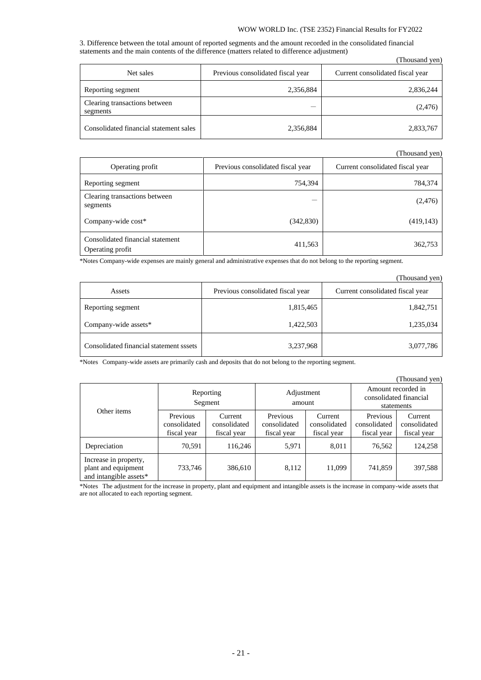## WOW WORLD Inc. (TSE 2352) Financial Results for FY2022

3. Difference between the total amount of reported segments and the amount recorded in the consolidated financial statements and the main contents of the difference (matters related to difference adjustment) (Thousand yen)

|                                           |                                   | Thousand year                    |
|-------------------------------------------|-----------------------------------|----------------------------------|
| Net sales                                 | Previous consolidated fiscal year | Current consolidated fiscal year |
| Reporting segment                         | 2,356,884                         | 2,836,244                        |
| Clearing transactions between<br>segments |                                   | (2,476)                          |
| Consolidated financial statement sales    | 2,356,884                         | 2,833,767                        |

(Thousand yen)

| Operating profit                                     | Previous consolidated fiscal year | Current consolidated fiscal year |
|------------------------------------------------------|-----------------------------------|----------------------------------|
| Reporting segment                                    | 754,394                           | 784,374                          |
| Clearing transactions between<br>segments            |                                   | (2,476)                          |
| Company-wide cost*                                   | (342,830)                         | (419, 143)                       |
| Consolidated financial statement<br>Operating profit | 411,563                           | 362,753                          |

\*Notes Company-wide expenses are mainly general and administrative expenses that do not belong to the reporting segment.

|                                         |                                   | (Thousand ven)                   |
|-----------------------------------------|-----------------------------------|----------------------------------|
| Assets                                  | Previous consolidated fiscal year | Current consolidated fiscal year |
| Reporting segment                       | 1,815,465                         | 1,842,751                        |
| Company-wide assets*                    | 1,422,503                         | 1,235,034                        |
| Consolidated financial statement sssets | 3,237,968                         | 3,077,786                        |

\*Notes Company-wide assets are primarily cash and deposits that do not belong to the reporting segment.

|                                                                        |                                         |                                        |                                         |                                        |                                                            | (Thousand yen)                         |
|------------------------------------------------------------------------|-----------------------------------------|----------------------------------------|-----------------------------------------|----------------------------------------|------------------------------------------------------------|----------------------------------------|
| Other items                                                            |                                         | Reporting<br>Segment                   | Adjustment<br>amount                    |                                        | Amount recorded in<br>consolidated financial<br>statements |                                        |
|                                                                        | Previous<br>consolidated<br>fiscal year | Current<br>consolidated<br>fiscal year | Previous<br>consolidated<br>fiscal year | Current<br>consolidated<br>fiscal year | Previous<br>consolidated<br>fiscal year                    | Current<br>consolidated<br>fiscal year |
| Depreciation                                                           | 70,591                                  | 116,246                                | 5,971                                   | 8,011                                  | 76,562                                                     | 124,258                                |
| Increase in property,<br>plant and equipment<br>and intangible assets* | 733,746                                 | 386,610                                | 8,112                                   | 11,099                                 | 741,859                                                    | 397,588                                |

\*Notes The adjustment for the increase in property, plant and equipment and intangible assets is the increase in company-wide assets that are not allocated to each reporting segment.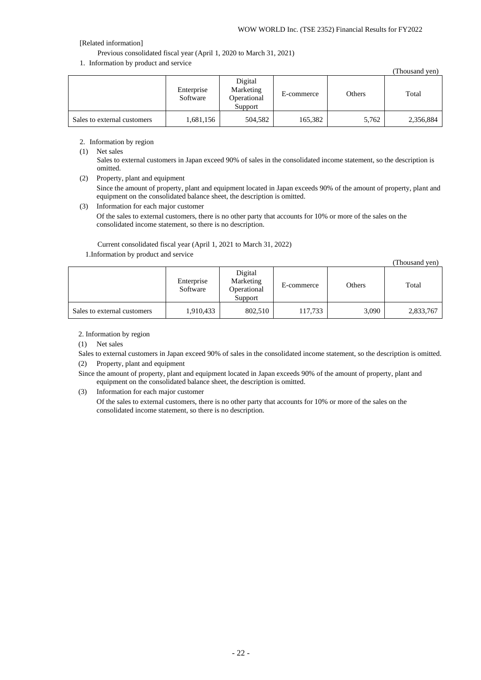# [Related information]

Previous consolidated fiscal year (April 1, 2020 to March 31, 2021)

1. Information by product and service

|                             |                        |                                                |            |        | (Thousand yen) |
|-----------------------------|------------------------|------------------------------------------------|------------|--------|----------------|
|                             | Enterprise<br>Software | Digital<br>Marketing<br>Operational<br>Support | E-commerce | Others | Total          |
| Sales to external customers | 1,681,156              | 504,582                                        | 165,382    | 5,762  | 2,356,884      |

# 2. Information by region

(1) Net sales

Sales to external customers in Japan exceed 90% of sales in the consolidated income statement, so the description is omitted.

(2) Property, plant and equipment

Since the amount of property, plant and equipment located in Japan exceeds 90% of the amount of property, plant and equipment on the consolidated balance sheet, the description is omitted.

(3) Information for each major customer Of the sales to external customers, there is no other party that accounts for 10% or more of the sales on the consolidated income statement, so there is no description.

Current consolidated fiscal year (April 1, 2021 to March 31, 2022) 1.Information by product and service

(Thousand yen)

|                             | Enterprise<br>Software | Digital<br>Marketing<br>Operational<br>Support | E-commerce | Others | Total     |
|-----------------------------|------------------------|------------------------------------------------|------------|--------|-----------|
| Sales to external customers | 1,910,433              | 802.510                                        | 117.733    | 3.090  | 2,833,767 |

2. Information by region

(1) Net sales

- Sales to external customers in Japan exceed 90% of sales in the consolidated income statement, so the description is omitted.
- (2) Property, plant and equipment

Since the amount of property, plant and equipment located in Japan exceeds 90% of the amount of property, plant and equipment on the consolidated balance sheet, the description is omitted.

(3) Information for each major customer

Of the sales to external customers, there is no other party that accounts for 10% or more of the sales on the consolidated income statement, so there is no description.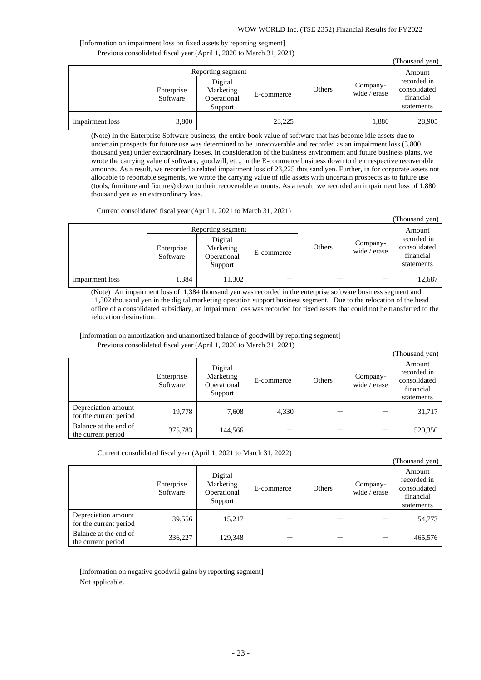## WOW WORLD Inc. (TSE 2352) Financial Results for FY2022

(Thousand yen)

# [Information on impairment loss on fixed assets by reporting segment] Previous consolidated fiscal year (April 1, 2020 to March 31, 2021)

|                 |                        |                                                                     |            |        |                          | (Thousand yen)                                                   |
|-----------------|------------------------|---------------------------------------------------------------------|------------|--------|--------------------------|------------------------------------------------------------------|
|                 | Enterprise<br>Software | Reporting segment<br>Digital<br>Marketing<br>Operational<br>Support | E-commerce | Others | Company-<br>wide / erase | Amount<br>recorded in<br>consolidated<br>financial<br>statements |
| Impairment loss | 3,800                  |                                                                     | 23,225     |        | 1,880                    | 28,905                                                           |

(Note) In the Enterprise Software business, the entire book value of software that has become idle assets due to uncertain prospects for future use was determined to be unrecoverable and recorded as an impairment loss (3,800 thousand yen) under extraordinary losses. In consideration of the business environment and future business plans, we wrote the carrying value of software, goodwill, etc., in the E-commerce business down to their respective recoverable amounts. As a result, we recorded a related impairment loss of 23,225 thousand yen. Further, in for corporate assets not allocable to reportable segments, we wrote the carrying value of idle assets with uncertain prospects as to future use (tools, furniture and fixtures) down to their recoverable amounts. As a result, we recorded an impairment loss of 1,880 thousand yen as an extraordinary loss.

Current consolidated fiscal year (April 1, 2021 to March 31, 2021)

|                 | Enterprise<br>Software | Reporting segment<br>Digital<br>Marketing<br>Operational | E-commerce | Others | Company-<br>wide / erase | Amount<br>recorded in<br>consolidated<br>financial |
|-----------------|------------------------|----------------------------------------------------------|------------|--------|--------------------------|----------------------------------------------------|
|                 |                        | Support                                                  |            |        |                          | statements                                         |
| Impairment loss | .384                   | 11,302                                                   |            |        |                          | 12,687                                             |

(Note) An impairment loss of 1,384 thousand yen was recorded in the enterprise software business segment and 11,302 thousand yen in the digital marketing operation support business segment. Due to the relocation of the head office of a consolidated subsidiary, an impairment loss was recorded for fixed assets that could not be transferred to the relocation destination.

[Information on amortization and unamortized balance of goodwill by reporting segment] Previous consolidated fiscal year (April 1, 2020 to March 31, 2021)

|                                               |                        |                                                |            |        |                          | (Thousand yen)                                                   |
|-----------------------------------------------|------------------------|------------------------------------------------|------------|--------|--------------------------|------------------------------------------------------------------|
|                                               | Enterprise<br>Software | Digital<br>Marketing<br>Operational<br>Support | E-commerce | Others | Company-<br>wide / erase | Amount<br>recorded in<br>consolidated<br>financial<br>statements |
| Depreciation amount<br>for the current period | 19.778                 | 7.608                                          | 4,330      |        |                          | 31,717                                                           |
| Balance at the end of<br>the current period   | 375,783                | 144,566                                        |            |        |                          | 520,350                                                          |

Current consolidated fiscal year (April 1, 2021 to March 31, 2022)

|                                               |                        |                                                |            |        |                          | (Thousand yen)                                                   |
|-----------------------------------------------|------------------------|------------------------------------------------|------------|--------|--------------------------|------------------------------------------------------------------|
|                                               | Enterprise<br>Software | Digital<br>Marketing<br>Operational<br>Support | E-commerce | Others | Company-<br>wide / erase | Amount<br>recorded in<br>consolidated<br>financial<br>statements |
| Depreciation amount<br>for the current period | 39,556                 | 15,217                                         |            |        |                          | 54,773                                                           |
| Balance at the end of<br>the current period   | 336,227                | 129,348                                        |            |        |                          | 465,576                                                          |

[Information on negative goodwill gains by reporting segment] Not applicable.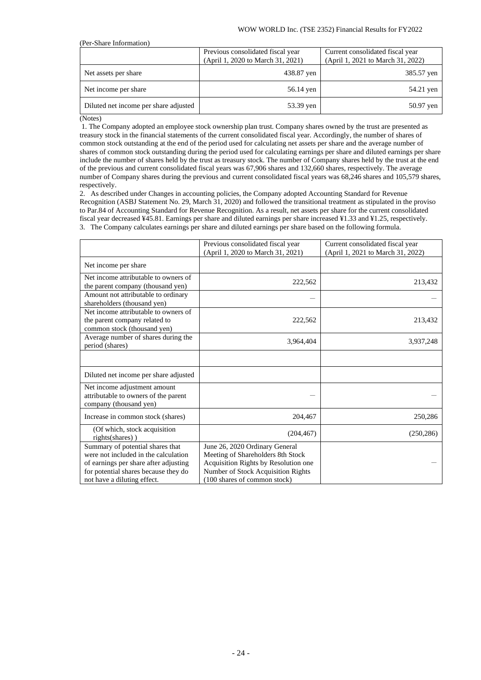| (Per-Share Information)               |                                                                        |                                                                       |
|---------------------------------------|------------------------------------------------------------------------|-----------------------------------------------------------------------|
|                                       | Previous consolidated fiscal year<br>(April 1, 2020 to March 31, 2021) | Current consolidated fiscal year<br>(April 1, 2021 to March 31, 2022) |
| Net assets per share                  | 438.87 yen                                                             | 385.57 yen                                                            |
| Net income per share                  | 56.14 yen                                                              | 54.21 yen                                                             |
| Diluted net income per share adjusted | 53.39 yen                                                              | 50.97 yen                                                             |

(Notes)

1. The Company adopted an employee stock ownership plan trust. Company shares owned by the trust are presented as treasury stock in the financial statements of the current consolidated fiscal year. Accordingly, the number of shares of common stock outstanding at the end of the period used for calculating net assets per share and the average number of shares of common stock outstanding during the period used for calculating earnings per share and diluted earnings per share include the number of shares held by the trust as treasury stock. The number of Company shares held by the trust at the end of the previous and current consolidated fiscal years was 67,906 shares and 132,660 shares, respectively. The average number of Company shares during the previous and current consolidated fiscal years was 68,246 shares and 105,579 shares, respectively.

2. As described under Changes in accounting policies, the Company adopted Accounting Standard for Revenue Recognition (ASBJ Statement No. 29, March 31, 2020) and followed the transitional treatment as stipulated in the proviso to Par.84 of Accounting Standard for Revenue Recognition. As a result, net assets per share for the current consolidated fiscal year decreased ¥45.81. Earnings per share and diluted earnings per share increased ¥1.33 and ¥1.25, respectively. 3. The Company calculates earnings per share and diluted earnings per share based on the following formula.

|                                                                                                                                                                                          | Previous consolidated fiscal year<br>(April 1, 2020 to March 31, 2021)                                                                                                            | Current consolidated fiscal year<br>(April 1, 2021 to March 31, 2022) |
|------------------------------------------------------------------------------------------------------------------------------------------------------------------------------------------|-----------------------------------------------------------------------------------------------------------------------------------------------------------------------------------|-----------------------------------------------------------------------|
| Net income per share                                                                                                                                                                     |                                                                                                                                                                                   |                                                                       |
| Net income attributable to owners of<br>the parent company (thousand yen)                                                                                                                | 222,562                                                                                                                                                                           | 213,432                                                               |
| Amount not attributable to ordinary<br>shareholders (thousand yen)                                                                                                                       |                                                                                                                                                                                   |                                                                       |
| Net income attributable to owners of<br>the parent company related to<br>common stock (thousand yen)                                                                                     | 222,562                                                                                                                                                                           | 213,432                                                               |
| Average number of shares during the<br>period (shares)                                                                                                                                   | 3.964.404                                                                                                                                                                         | 3,937,248                                                             |
|                                                                                                                                                                                          |                                                                                                                                                                                   |                                                                       |
| Diluted net income per share adjusted                                                                                                                                                    |                                                                                                                                                                                   |                                                                       |
| Net income adjustment amount<br>attributable to owners of the parent<br>company (thousand yen)                                                                                           |                                                                                                                                                                                   |                                                                       |
| Increase in common stock (shares)                                                                                                                                                        | 204,467                                                                                                                                                                           | 250,286                                                               |
| (Of which, stock acquisition<br>rights(shares))                                                                                                                                          | (204, 467)                                                                                                                                                                        | (250, 286)                                                            |
| Summary of potential shares that<br>were not included in the calculation<br>of earnings per share after adjusting<br>for potential shares because they do<br>not have a diluting effect. | June 26, 2020 Ordinary General<br>Meeting of Shareholders 8th Stock<br>Acquisition Rights by Resolution one<br>Number of Stock Acquisition Rights<br>(100 shares of common stock) |                                                                       |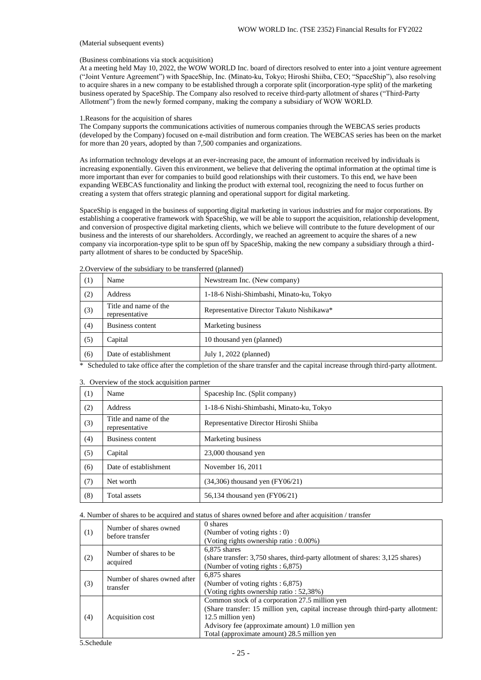### (Material subsequent events)

## (Business combinations via stock acquisition)

At a meeting held May 10, 2022, the WOW WORLD Inc. board of directors resolved to enter into a joint venture agreement ("Joint Venture Agreement") with SpaceShip, Inc. (Minato-ku, Tokyo; Hiroshi Shiiba, CEO; "SpaceShip"), also resolving to acquire shares in a new company to be established through a corporate split (incorporation-type split) of the marketing business operated by SpaceShip. The Company also resolved to receive third-party allotment of shares ("Third-Party Allotment") from the newly formed company, making the company a subsidiary of WOW WORLD.

### 1.Reasons for the acquisition of shares

The Company supports the communications activities of numerous companies through the WEBCAS series products (developed by the Company) focused on e-mail distribution and form creation. The WEBCAS series has been on the market for more than 20 years, adopted by than 7,500 companies and organizations.

As information technology develops at an ever-increasing pace, the amount of information received by individuals is increasing exponentially. Given this environment, we believe that delivering the optimal information at the optimal time is more important than ever for companies to build good relationships with their customers. To this end, we have been expanding WEBCAS functionality and linking the product with external tool, recognizing the need to focus further on creating a system that offers strategic planning and operational support for digital marketing.

SpaceShip is engaged in the business of supporting digital marketing in various industries and for major corporations. By establishing a cooperative framework with SpaceShip, we will be able to support the acquisition, relationship development, and conversion of prospective digital marketing clients, which we believe will contribute to the future development of our business and the interests of our shareholders. Accordingly, we reached an agreement to acquire the shares of a new company via incorporation-type split to be spun off by SpaceShip, making the new company a subsidiary through a thirdparty allotment of shares to be conducted by SpaceShip.

| (1) | Name                                    | Newstream Inc. (New company)              |  |  |
|-----|-----------------------------------------|-------------------------------------------|--|--|
| (2) | <b>Address</b>                          | 1-18-6 Nishi-Shimbashi, Minato-ku, Tokyo  |  |  |
| (3) | Title and name of the<br>representative | Representative Director Takuto Nishikawa* |  |  |
| (4) | Business content                        | Marketing business                        |  |  |
| (5) | Capital                                 | 10 thousand yen (planned)                 |  |  |
| (6) | Date of establishment                   | July 1, 2022 (planned)                    |  |  |

2.Overview of the subsidiary to be transferred (planned)

\* Scheduled to take office after the completion of the share transfer and the capital increase through third-party allotment.

| (1) | Name                                    | Spaceship Inc. (Split company)           |  |  |
|-----|-----------------------------------------|------------------------------------------|--|--|
| (2) | Address                                 | 1-18-6 Nishi-Shimbashi, Minato-ku, Tokyo |  |  |
| (3) | Title and name of the<br>representative | Representative Director Hiroshi Shiiba   |  |  |
| (4) | Business content                        | Marketing business                       |  |  |
| (5) | Capital                                 | 23,000 thousand yen                      |  |  |
| (6) | Date of establishment                   | November 16, 2011                        |  |  |
| (7) | Net worth                               | $(34,306)$ thousand yen $(FY06/21)$      |  |  |
| (8) | Total assets                            | 56,134 thousand yen (FY06/21)            |  |  |

3. Overview of the stock acquisition partner

4. Number of shares to be acquired and status of shares owned before and after acquisition / transfer

| (1) | Number of shares owned<br>before transfer | 0 shares<br>(Number of voting rights $: 0$ )<br>(Voting rights ownership ratio : 0.00%)                                                                                                                                                                     |
|-----|-------------------------------------------|-------------------------------------------------------------------------------------------------------------------------------------------------------------------------------------------------------------------------------------------------------------|
| (2) | Number of shares to be.<br>acquired       | 6.875 shares<br>(share transfer: 3,750 shares, third-party allotment of shares: 3,125 shares)<br>(Number of voting rights: 6,875)                                                                                                                           |
| (3) | Number of shares owned after<br>transfer  | 6.875 shares<br>(Number of voting rights $: 6,875$ )<br>(Voting rights ownership ratio: 52,38%)                                                                                                                                                             |
| (4) | Acquisition cost                          | Common stock of a corporation 27.5 million yen<br>(Share transfer: 15 million yen, capital increase through third-party allotment:<br>12.5 million yen)<br>Advisory fee (approximate amount) 1.0 million yen<br>Total (approximate amount) 28.5 million yen |

5.Schedule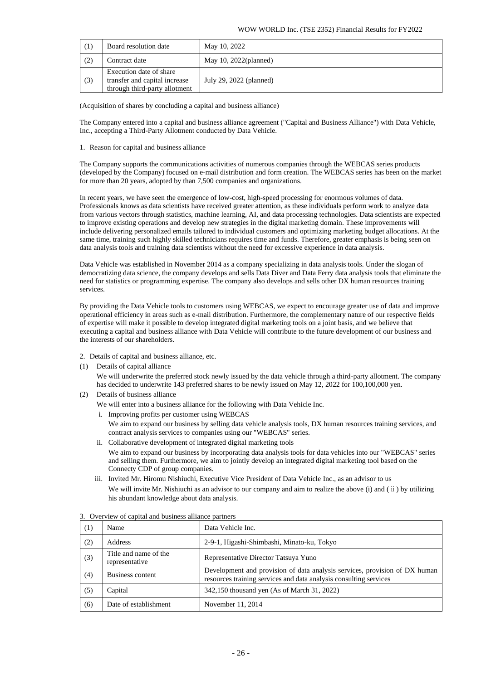| (1) | Board resolution date                                                                     | May 10, 2022             |
|-----|-------------------------------------------------------------------------------------------|--------------------------|
| (2) | Contract date                                                                             | May 10, $2022$ (planned) |
| (3) | Execution date of share<br>transfer and capital increase<br>through third-party allotment | July 29, 2022 (planned)  |

(Acquisition of shares by concluding a capital and business alliance)

The Company entered into a capital and business alliance agreement ("Capital and Business Alliance") with Data Vehicle, Inc., accepting a Third-Party Allotment conducted by Data Vehicle.

1. Reason for capital and business alliance

The Company supports the communications activities of numerous companies through the WEBCAS series products (developed by the Company) focused on e-mail distribution and form creation. The WEBCAS series has been on the market for more than 20 years, adopted by than 7,500 companies and organizations.

In recent years, we have seen the emergence of low-cost, high-speed processing for enormous volumes of data. Professionals knows as data scientists have received greater attention, as these individuals perform work to analyze data from various vectors through statistics, machine learning, AI, and data processing technologies. Data scientists are expected to improve existing operations and develop new strategies in the digital marketing domain. These improvements will include delivering personalized emails tailored to individual customers and optimizing marketing budget allocations. At the same time, training such highly skilled technicians requires time and funds. Therefore, greater emphasis is being seen on data analysis tools and training data scientists without the need for excessive experience in data analysis.

Data Vehicle was established in November 2014 as a company specializing in data analysis tools. Under the slogan of democratizing data science, the company develops and sells Data Diver and Data Ferry data analysis tools that eliminate the need for statistics or programming expertise. The company also develops and sells other DX human resources training services.

By providing the Data Vehicle tools to customers using WEBCAS, we expect to encourage greater use of data and improve operational efficiency in areas such as e-mail distribution. Furthermore, the complementary nature of our respective fields of expertise will make it possible to develop integrated digital marketing tools on a joint basis, and we believe that executing a capital and business alliance with Data Vehicle will contribute to the future development of our business and the interests of our shareholders.

- 2. Details of capital and business alliance, etc.
- (1) Details of capital alliance

We will underwrite the preferred stock newly issued by the data vehicle through a third-party allotment. The company has decided to underwrite 143 preferred shares to be newly issued on May 12, 2022 for 100,100,000 yen.

(2) Details of business alliance

We will enter into a business alliance for the following with Data Vehicle Inc.

i. Improving profits per customer using WEBCAS

We aim to expand our business by selling data vehicle analysis tools, DX human resources training services, and contract analysis services to companies using our "WEBCAS" series.

- ii. Collaborative development of integrated digital marketing tools We aim to expand our business by incorporating data analysis tools for data vehicles into our "WEBCAS" series and selling them. Furthermore, we aim to jointly develop an integrated digital marketing tool based on the Connecty CDP of group companies.
- iii. Invited Mr. Hiromu Nishiuchi, Executive Vice President of Data Vehicle Inc., as an advisor to us We will invite Mr. Nishiuchi as an advisor to our company and aim to realize the above (i) and ( ii ) by utilizing his abundant knowledge about data analysis.

| (1) | Name                                    | Data Vehicle Inc.                                                                                                                               |
|-----|-----------------------------------------|-------------------------------------------------------------------------------------------------------------------------------------------------|
| (2) | Address                                 | 2-9-1, Higashi-Shimbashi, Minato-ku, Tokyo                                                                                                      |
| (3) | Title and name of the<br>representative | Representative Director Tatsuya Yuno                                                                                                            |
| (4) | Business content                        | Development and provision of data analysis services, provision of DX human<br>resources training services and data analysis consulting services |
| (5) | Capital                                 | 342,150 thousand yen (As of March 31, 2022)                                                                                                     |
| (6) | Date of establishment                   | November 11, 2014                                                                                                                               |

| 3. Overview of capital and business alliance partners |  |  |  |  |
|-------------------------------------------------------|--|--|--|--|
|-------------------------------------------------------|--|--|--|--|